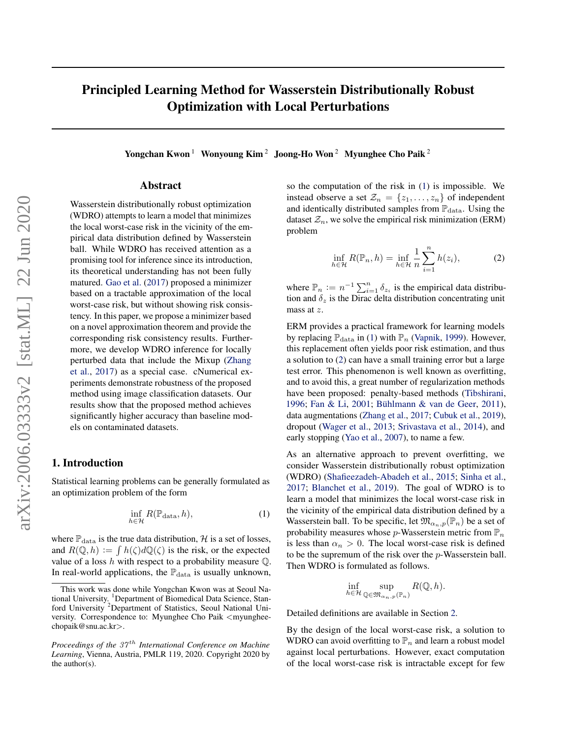# <span id="page-0-0"></span>Principled Learning Method for Wasserstein Distributionally Robust Optimization with Local Perturbations

Yongchan Kwon <sup>1</sup> Wonyoung Kim <sup>2</sup> Joong-Ho Won <sup>2</sup> Myunghee Cho Paik <sup>2</sup>

## Abstract

Wasserstein distributionally robust optimization (WDRO) attempts to learn a model that minimizes the local worst-case risk in the vicinity of the empirical data distribution defined by Wasserstein ball. While WDRO has received attention as a promising tool for inference since its introduction, its theoretical understanding has not been fully matured. [Gao et al.](#page-8-0) [\(2017\)](#page-8-0) proposed a minimizer based on a tractable approximation of the local worst-case risk, but without showing risk consistency. In this paper, we propose a minimizer based on a novel approximation theorem and provide the corresponding risk consistency results. Furthermore, we develop WDRO inference for locally perturbed data that include the Mixup [\(Zhang](#page-9-0) [et al.,](#page-9-0) [2017\)](#page-9-0) as a special case. cNumerical experiments demonstrate robustness of the proposed method using image classification datasets. Our results show that the proposed method achieves significantly higher accuracy than baseline models on contaminated datasets.

## 1. Introduction

Statistical learning problems can be generally formulated as an optimization problem of the form

$$
\inf_{h \in \mathcal{H}} R(\mathbb{P}_{\text{data}}, h),\tag{1}
$$

where  $\mathbb{P}_{data}$  is the true data distribution,  $\mathcal H$  is a set of losses, and  $R(\mathbb{Q}, h) := \int h(\zeta) d\mathbb{Q}(\zeta)$  is the risk, or the expected value of a loss h with respect to a probability measure  $\mathbb Q$ . In real-world applications, the  $\mathbb{P}_{data}$  is usually unknown,

so the computation of the risk in (1) is impossible. We instead observe a set  $\mathcal{Z}_n = \{z_1, \ldots, z_n\}$  of independent and identically distributed samples from  $\mathbb{P}_{data}$ . Using the dataset  $\mathcal{Z}_n$ , we solve the empirical risk minimization (ERM) problem

$$
\inf_{h \in \mathcal{H}} R(\mathbb{P}_n, h) = \inf_{h \in \mathcal{H}} \frac{1}{n} \sum_{i=1}^n h(z_i),\tag{2}
$$

where  $\mathbb{P}_n := n^{-1} \sum_{i=1}^n \delta_{z_i}$  is the empirical data distribution and  $\delta_z$  is the Dirac delta distribution concentrating unit mass at z.

ERM provides a practical framework for learning models by replacing  $\mathbb{P}_{data}$  in (1) with  $\mathbb{P}_n$  [\(Vapnik,](#page-9-0) [1999\)](#page-9-0). However, this replacement often yields poor risk estimation, and thus a solution to (2) can have a small training error but a large test error. This phenomenon is well known as overfitting, and to avoid this, a great number of regularization methods have been proposed: penalty-based methods [\(Tibshirani,](#page-9-0) [1996;](#page-9-0) [Fan & Li,](#page-8-0) [2001;](#page-8-0) Bühlmann & van de Geer, [2011\)](#page-8-0), data augmentations [\(Zhang et al.,](#page-9-0) [2017;](#page-9-0) [Cubuk et al.,](#page-8-0) [2019\)](#page-8-0), dropout [\(Wager et al.,](#page-9-0) [2013;](#page-9-0) [Srivastava et al.,](#page-9-0) [2014\)](#page-9-0), and early stopping [\(Yao et al.,](#page-9-0) [2007\)](#page-9-0), to name a few.

As an alternative approach to prevent overfitting, we consider Wasserstein distributionally robust optimization (WDRO) [\(Shafieezadeh-Abadeh et al.,](#page-9-0) [2015;](#page-9-0) [Sinha et al.,](#page-9-0) [2017;](#page-9-0) [Blanchet et al.,](#page-8-0) [2019\)](#page-8-0). The goal of WDRO is to learn a model that minimizes the local worst-case risk in the vicinity of the empirical data distribution defined by a Wasserstein ball. To be specific, let  $\mathfrak{M}_{\alpha_n,p}(\mathbb{P}_n)$  be a set of probability measures whose  $p$ -Wasserstein metric from  $\mathbb{P}_n$ is less than  $\alpha_n > 0$ . The local worst-case risk is defined to be the supremum of the risk over the p-Wasserstein ball. Then WDRO is formulated as follows.

$$
\inf_{h\in\mathcal{H}}\sup_{\mathbb{Q}\in\mathfrak{M}_{\alpha_n,p}(\mathbb{P}_n)}R(\mathbb{Q},h).
$$

Detailed definitions are available in Section [2.](#page-2-0)

By the design of the local worst-case risk, a solution to WDRO can avoid overfitting to  $\mathbb{P}_n$  and learn a robust model against local perturbations. However, exact computation of the local worst-case risk is intractable except for few

This work was done while Yongchan Kwon was at Seoul National University. <sup>1</sup>Department of Biomedical Data Science, Stanford University <sup>2</sup>Department of Statistics, Seoul National University. Correspondence to: Myunghee Cho Paik <myungheechopaik@snu.ac.kr>.

*Proceedings of the 37<sup>th</sup> International Conference on Machine Learning*, Vienna, Austria, PMLR 119, 2020. Copyright 2020 by the author(s).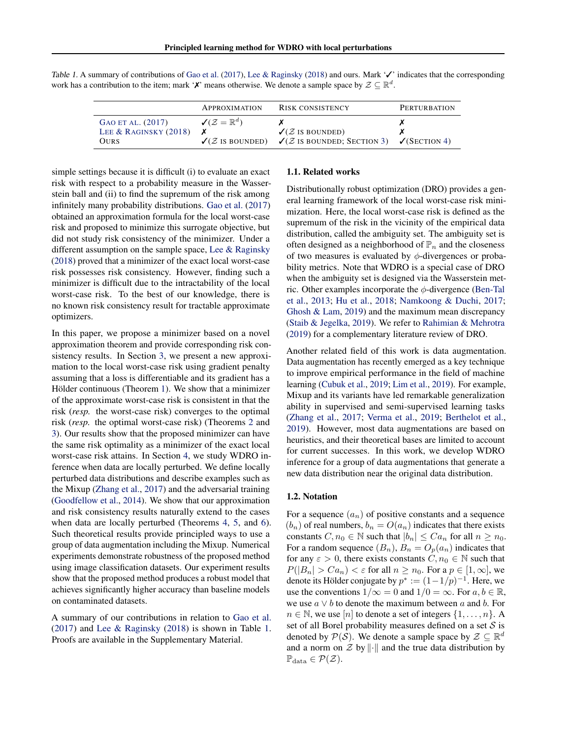|                                                      | <b>APPROXIMATION</b>                    | <b>RISK CONSISTENCY</b>                                                                                                               | <b>PERTURBATION</b> |
|------------------------------------------------------|-----------------------------------------|---------------------------------------------------------------------------------------------------------------------------------------|---------------------|
| GAO ET AL. (2017)<br>LEE & RAGINSKY $(2018)$<br>Ours | $\mathcal{J}(\mathcal{Z}=\mathbb{R}^d)$ | $\sqrt{2}$ is bounded)<br>$\checkmark$ ( <i>Z</i> IS BOUNDED) $\checkmark$ ( <i>Z</i> IS BOUNDED; SECTION 3) $\checkmark$ (SECTION 4) |                     |

Table 1. A summary of contributions of [Gao et al.](#page-8-0) [\(2017\)](#page-8-0), [Lee & Raginsky](#page-9-0) [\(2018\)](#page-9-0) and ours. Mark '✓' indicates that the corresponding work has a contribution to the item; mark ' $\chi$ ' means otherwise. We denote a sample space by  $\mathcal{Z} \subseteq \mathbb{R}^d$ .

simple settings because it is difficult (i) to evaluate an exact risk with respect to a probability measure in the Wasserstein ball and (ii) to find the supremum of the risk among infinitely many probability distributions. [Gao et al.](#page-8-0) [\(2017\)](#page-8-0) obtained an approximation formula for the local worst-case risk and proposed to minimize this surrogate objective, but did not study risk consistency of the minimizer. Under a different assumption on the sample space, [Lee & Raginsky](#page-9-0) [\(2018\)](#page-9-0) proved that a minimizer of the exact local worst-case risk possesses risk consistency. However, finding such a minimizer is difficult due to the intractability of the local worst-case risk. To the best of our knowledge, there is no known risk consistency result for tractable approximate optimizers.

In this paper, we propose a minimizer based on a novel approximation theorem and provide corresponding risk consistency results. In Section [3,](#page-2-0) we present a new approximation to the local worst-case risk using gradient penalty assuming that a loss is differentiable and its gradient has a Hölder continuous (Theorem [1\)](#page-3-0). We show that a minimizer of the approximate worst-case risk is consistent in that the risk (*resp.* the worst-case risk) converges to the optimal risk (*resp.* the optimal worst-case risk) (Theorems [2](#page-3-0) and [3\)](#page-3-0). Our results show that the proposed minimizer can have the same risk optimality as a minimizer of the exact local worst-case risk attains. In Section [4,](#page-4-0) we study WDRO inference when data are locally perturbed. We define locally perturbed data distributions and describe examples such as the Mixup [\(Zhang et al.,](#page-9-0) [2017\)](#page-9-0) and the adversarial training [\(Goodfellow et al.,](#page-8-0) [2014\)](#page-8-0). We show that our approximation and risk consistency results naturally extend to the cases when data are locally perturbed (Theorems [4,](#page-5-0) [5,](#page-5-0) and [6\)](#page-5-0). Such theoretical results provide principled ways to use a group of data augmentation including the Mixup. Numerical experiments demonstrate robustness of the proposed method using image classification datasets. Our experiment results show that the proposed method produces a robust model that achieves significantly higher accuracy than baseline models on contaminated datasets.

A summary of our contributions in relation to [Gao et al.](#page-8-0) [\(2017\)](#page-8-0) and [Lee & Raginsky](#page-9-0) [\(2018\)](#page-9-0) is shown in Table 1. Proofs are available in the Supplementary Material.

#### 1.1. Related works

Distributionally robust optimization (DRO) provides a general learning framework of the local worst-case risk minimization. Here, the local worst-case risk is defined as the supremum of the risk in the vicinity of the empirical data distribution, called the ambiguity set. The ambiguity set is often designed as a neighborhood of  $\mathbb{P}_n$  and the closeness of two measures is evaluated by  $\phi$ -divergences or probability metrics. Note that WDRO is a special case of DRO when the ambiguity set is designed via the Wasserstein metric. Other examples incorporate the  $\phi$ -divergence [\(Ben-Tal](#page-8-0) [et al.,](#page-8-0) [2013;](#page-8-0) [Hu et al.,](#page-8-0) [2018;](#page-8-0) [Namkoong & Duchi,](#page-9-0) [2017;](#page-9-0) [Ghosh & Lam,](#page-8-0) [2019\)](#page-8-0) and the maximum mean discrepancy [\(Staib & Jegelka,](#page-9-0) [2019\)](#page-9-0). We refer to [Rahimian & Mehrotra](#page-9-0) [\(2019\)](#page-9-0) for a complementary literature review of DRO.

Another related field of this work is data augmentation. Data augmentation has recently emerged as a key technique to improve empirical performance in the field of machine learning [\(Cubuk et al.,](#page-8-0) [2019;](#page-8-0) [Lim et al.,](#page-9-0) [2019\)](#page-9-0). For example, Mixup and its variants have led remarkable generalization ability in supervised and semi-supervised learning tasks [\(Zhang et al.,](#page-9-0) [2017;](#page-9-0) [Verma et al.,](#page-9-0) [2019;](#page-9-0) [Berthelot et al.,](#page-8-0) [2019\)](#page-8-0). However, most data augmentations are based on heuristics, and their theoretical bases are limited to account for current successes. In this work, we develop WDRO inference for a group of data augmentations that generate a new data distribution near the original data distribution.

### 1.2. Notation

For a sequence  $(a_n)$  of positive constants and a sequence  $(b_n)$  of real numbers,  $b_n = O(a_n)$  indicates that there exists constants  $C, n_0 \in \mathbb{N}$  such that  $|b_n| \leq C a_n$  for all  $n \geq n_0$ . For a random sequence  $(B_n)$ ,  $B_n = O_p(a_n)$  indicates that for any  $\varepsilon > 0$ , there exists constants  $C, n_0 \in \mathbb{N}$  such that  $P(|B_n| > Ca_n) < \varepsilon$  for all  $n \ge n_0$ . For a  $p \in [1,\infty]$ , we denote its Hölder conjugate by  $p^* := (1 - 1/p)^{-1}$ . Here, we use the conventions  $1/\infty = 0$  and  $1/0 = \infty$ . For  $a, b \in \mathbb{R}$ , we use  $a \vee b$  to denote the maximum between a and b. For  $n \in \mathbb{N}$ , we use  $[n]$  to denote a set of integers  $\{1, \ldots, n\}$ . A set of all Borel probability measures defined on a set  $S$  is denoted by  $\mathcal{P}(\mathcal{S})$ . We denote a sample space by  $\mathcal{Z} \subseteq \mathbb{R}^d$ and a norm on  $\mathcal Z$  by  $\|\cdot\|$  and the true data distribution by  $\mathbb{P}_{data} \in \mathcal{P}(\mathcal{Z}).$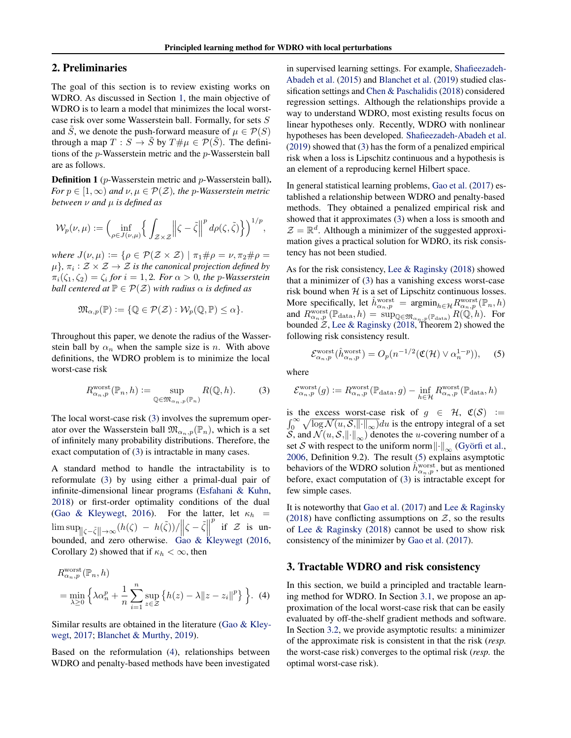# <span id="page-2-0"></span>2. Preliminaries

The goal of this section is to review existing works on WDRO. As discussed in Section [1,](#page-0-0) the main objective of WDRO is to learn a model that minimizes the local worstcase risk over some Wasserstein ball. Formally, for sets S and S, we denote the push-forward measure of  $\mu \in \mathcal{P}(S)$ through a map  $T : S \to \tilde{S}$  by  $T \# \mu \in \mathcal{P}(\tilde{S})$ . The definitions of the p-Wasserstein metric and the p-Wasserstein ball are as follows.

Definition 1 (p-Wasserstein metric and p-Wasserstein ball). *For*  $p \in [1, \infty)$  *and*  $\nu, \mu \in \mathcal{P}(\mathcal{Z})$ *, the* p-Wasserstein metric *between* ν *and* µ *is defined as*

$$
\mathcal{W}_p(\nu,\mu) := \left(\inf_{\rho \in J(\nu,\mu)} \left\{ \int_{\mathcal{Z} \times \mathcal{Z}} \left\| \zeta - \tilde{\zeta} \right\|^p d\rho(\zeta,\tilde{\zeta}) \right\} \right)^{1/p},
$$

*where*  $J(\nu, \mu) := \{ \rho \in \mathcal{P}(\mathcal{Z} \times \mathcal{Z}) \mid \pi_1 \# \rho = \nu, \pi_2 \# \rho =$  $\{\mu\}$ ,  $\pi_i : \mathcal{Z} \times \mathcal{Z} \rightarrow \mathcal{Z}$  is the canonical projection defined by  $\pi_i(\zeta_1, \zeta_2) = \zeta_i$  for  $i = 1, 2$ *. For*  $\alpha > 0$ *, the p-Wasserstein ball centered at*  $P \in \mathcal{P}(\mathcal{Z})$  *with radius*  $\alpha$  *is defined as* 

$$
\mathfrak{M}_{\alpha,p}(\mathbb{P}) \coloneqq \{ \mathbb{Q} \in \mathcal{P}(\mathcal{Z}) : \mathcal{W}_p(\mathbb{Q}, \mathbb{P}) \leq \alpha \}.
$$

Throughout this paper, we denote the radius of the Wasserstein ball by  $\alpha_n$  when the sample size is n. With above definitions, the WDRO problem is to minimize the local worst-case risk

$$
R_{\alpha_n, p}^{\text{worst}}(\mathbb{P}_n, h) := \sup_{\mathbb{Q} \in \mathfrak{M}_{\alpha_n, p}(\mathbb{P}_n)} R(\mathbb{Q}, h).
$$
 (3)

The local worst-case risk (3) involves the supremum operator over the Wasserstein ball  $\mathfrak{M}_{\alpha_n,p}(\mathbb{P}_n)$ , which is a set of infinitely many probability distributions. Therefore, the exact computation of (3) is intractable in many cases.

A standard method to handle the intractability is to reformulate (3) by using either a primal-dual pair of infinite-dimensional linear programs [\(Esfahani & Kuhn,](#page-8-0) [2018\)](#page-8-0) or first-order optimality conditions of the dual [\(Gao & Kleywegt,](#page-8-0) [2016\)](#page-8-0). For the latter, let  $\kappa_h$  =  $\limsup_{\|\zeta-\tilde{\zeta}\|\to\infty} (h(\zeta) - h(\tilde{\zeta}))/\|\zeta-\tilde{\zeta}\|$ p if  $Z$  is un-bounded, and zero otherwise. [Gao & Kleywegt](#page-8-0) [\(2016,](#page-8-0) Corollary 2) showed that if  $\kappa_h < \infty$ , then

$$
R_{\alpha_n, p}^{\text{worst}}(\mathbb{P}_n, h)
$$
  
= 
$$
\min_{\lambda \ge 0} \left\{ \lambda \alpha_n^p + \frac{1}{n} \sum_{i=1}^n \sup_{z \in \mathcal{Z}} \left\{ h(z) - \lambda ||z - z_i||^p \right\} \right\}.
$$
 (4)

Similar results are obtained in the literature [\(Gao & Kley](#page-8-0)[wegt,](#page-8-0) [2017;](#page-8-0) [Blanchet & Murthy,](#page-8-0) [2019\)](#page-8-0).

Based on the reformulation (4), relationships between WDRO and penalty-based methods have been investigated in supervised learning settings. For example, [Shafieezadeh-](#page-9-0)[Abadeh et al.](#page-9-0) [\(2015\)](#page-9-0) and [Blanchet et al.](#page-8-0) [\(2019\)](#page-8-0) studied classification settings and [Chen & Paschalidis](#page-8-0) [\(2018\)](#page-8-0) considered regression settings. Although the relationships provide a way to understand WDRO, most existing results focus on linear hypotheses only. Recently, WDRO with nonlinear hypotheses has been developed. [Shafieezadeh-Abadeh et al.](#page-9-0) [\(2019\)](#page-9-0) showed that (3) has the form of a penalized empirical risk when a loss is Lipschitz continuous and a hypothesis is an element of a reproducing kernel Hilbert space.

In general statistical learning problems, [Gao et al.](#page-8-0) [\(2017\)](#page-8-0) established a relationship between WDRO and penalty-based methods. They obtained a penalized empirical risk and showed that it approximates (3) when a loss is smooth and  $\mathcal{Z} = \mathbb{R}^d$ . Although a minimizer of the suggested approximation gives a practical solution for WDRO, its risk consistency has not been studied.

As for the risk consistency, [Lee & Raginsky](#page-9-0) [\(2018\)](#page-9-0) showed that a minimizer of (3) has a vanishing excess worst-case risk bound when  $H$  is a set of Lipschitz continuous losses. More specifically, let  $\hat{h}_{\alpha_n,p}^{\text{worst}} = \operatorname{argmin}_{h \in \mathcal{H}} R_{\alpha_n,p}^{\text{worst}}(\mathbb{P}_n, h)$ and  $R_{\alpha_n,p}^{\text{worst}}(\mathbb{P}_{\text{data}},h) = \sup_{\mathbb{Q}\in \mathfrak{M}_{\alpha_n,p}(\mathbb{P}_{\text{data}})} R(\mathbb{Q},h)$ . For bounded  $\mathcal{Z}$ , [Lee & Raginsky](#page-9-0) [\(2018,](#page-9-0) Theorem 2) showed the following risk consistency result.

$$
\mathcal{E}_{\alpha_n,p}^{\text{worst}}(\hat{h}_{\alpha_n,p}^{\text{worst}}) = O_p(n^{-1/2}(\mathfrak{C}(\mathcal{H}) \vee \alpha_n^{1-p})), \quad (5)
$$

where

$$
\mathcal{E}^{\text{worst}}_{\alpha_n,p}(g):=R_{\alpha_n,p}^{\text{worst}}(\mathbb{P}_{\text{data}},g)-\inf_{h\in\mathcal{H}}R_{\alpha_n,p}^{\text{worst}}(\mathbb{P}_{\text{data}},h)
$$

is the excess worst-case risk of  $g \in \mathcal{H}$ ,  $\mathfrak{C}(\mathcal{S}) :=$  $\int_0^\infty \sqrt{\log \mathcal{N}(u, \mathcal{S}, ||\cdot||_\infty)} du$  is the entropy integral of a set S, and  $\mathcal{N}(u, \mathcal{S}, \lVert \cdot \rVert_{\infty})$  denotes the *u*-covering number of a set S with respect to the uniform norm  $\left\|\cdot\right\|_{\infty}$  (Györfi et al., [2006,](#page-8-0) Definition 9.2). The result (5) explains asymptotic behaviors of the WDRO solution  $\hat{h}_{\alpha_n,p}^{\text{worst}}$ , but as mentioned before, exact computation of (3) is intractable except for few simple cases.

It is noteworthy that [Gao et al.](#page-8-0) [\(2017\)](#page-8-0) and [Lee & Raginsky](#page-9-0) [\(2018\)](#page-9-0) have conflicting assumptions on  $Z$ , so the results of [Lee & Raginsky](#page-9-0) [\(2018\)](#page-9-0) cannot be used to show risk consistency of the minimizer by [Gao et al.](#page-8-0) [\(2017\)](#page-8-0).

# 3. Tractable WDRO and risk consistency

In this section, we build a principled and tractable learning method for WDRO. In Section [3.1,](#page-3-0) we propose an approximation of the local worst-case risk that can be easily evaluated by off-the-shelf gradient methods and software. In Section [3.2,](#page-3-0) we provide asymptotic results: a minimizer of the approximate risk is consistent in that the risk (*resp.* the worst-case risk) converges to the optimal risk (*resp.* the optimal worst-case risk).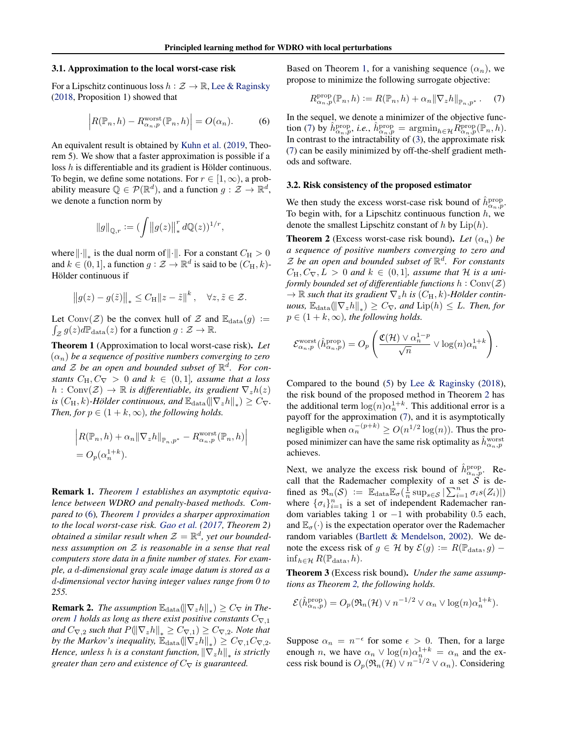#### <span id="page-3-0"></span>3.1. Approximation to the local worst-case risk

For a Lipschitz continuous loss  $h : \mathcal{Z} \to \mathbb{R}$ , [Lee & Raginsky](#page-9-0) [\(2018,](#page-9-0) Proposition 1) showed that

$$
\left| R(\mathbb{P}_n, h) - R_{\alpha_n, p}^{\text{worst}}(\mathbb{P}_n, h) \right| = O(\alpha_n). \tag{6}
$$

An equivalent result is obtained by [Kuhn et al.](#page-9-0) [\(2019,](#page-9-0) Theorem 5). We show that a faster approximation is possible if a loss  $h$  is differentiable and its gradient is Hölder continuous. To begin, we define some notations. For  $r \in [1, \infty)$ , a probability measure  $\mathbb{Q} \in \mathcal{P}(\mathbb{R}^d)$ , and a function  $g: \mathcal{Z} \to \mathbb{R}^d$ , we denote a function norm by

$$
\left\|g\right\|_{\mathbb{Q},r}:= (\int \bigl\|g(z)\bigr\|_*^r\,d\mathbb{Q}(z))^{1/r},
$$

where  $\lVert \cdot \rVert_*$  is the dual norm of  $\lVert \cdot \rVert$ . For a constant  $C_H > 0$ and  $k \in (0, 1]$ , a function  $g : \mathcal{Z} \to \mathbb{R}^d$  is said to be  $(C_H, k)$ -Hölder continuous if

$$
\|g(z) - g(\tilde{z})\|_* \le C_H \|z - \tilde{z}\|^k, \quad \forall z, \tilde{z} \in \mathcal{Z}.
$$

Let Conv $(\mathcal{Z})$  be the convex hull of  $\mathcal Z$  and  $\mathbb{E}_{data}(g) :=$  $\int_{\mathcal{Z}} g(z) d\mathbb{P}_{data}(z)$  for a function  $g : \mathcal{Z} \to \mathbb{R}$ .

Theorem 1 (Approximation to local worst-case risk). *Let*  $(\alpha_n)$  be a sequence of positive numbers converging to zero and  $\mathcal Z$  be an open and bounded subset of  $\mathbb R^d$ . For con*stants*  $C_H, C_{\nabla} > 0$  *and*  $k \in (0, 1]$ *, assume that a loss*  $h: Conv(\mathcal{Z}) \to \mathbb{R}$  *is differentiable, its gradient*  $\nabla_z h(z)$ *is*  $(C_H, k)$ -Hölder continuous, and  $\mathbb{E}_{data}(\|\nabla_z h\|_*) \geq C_{\nabla}$ . *Then, for*  $p \in (1 + k, \infty)$ *, the following holds.* 

$$
\left| R(\mathbb{P}_n, h) + \alpha_n \|\nabla_z h\|_{\mathbb{P}_n, p^*} - R_{\alpha_n, p}^{\text{worst}}(\mathbb{P}_n, h) \right|
$$
  
=  $O_p(\alpha_n^{1+k}).$ 

Remark 1. *Theorem 1 establishes an asymptotic equivalence between WDRO and penalty-based methods. Compared to* (6)*, Theorem 1 provides a sharper approximation to the local worst-case risk. [Gao et al.](#page-8-0) [\(2017,](#page-8-0) Theorem 2) obtained a similar result when*  $\mathcal{Z} = \mathbb{R}^d$ , yet our bounded*ness assumption on* Z *is reasonable in a sense that real computers store data in a finite number of states. For example, a* d*-dimensional gray scale image datum is stored as a* d*-dimensional vector having integer values range from 0 to 255.*

**Remark 2.** *The assumption*  $\mathbb{E}_{data}(\|\nabla_z h\|_*) \geq C_{\nabla}$  *in Theorem 1 holds as long as there exist positive constants*  $C_{\nabla,1}$ *and*  $C_{\nabla,2}$  *such that*  $P(\|\nabla_z h\|_* \geq C_{\nabla,1}) \geq C_{\nabla,2}$ *. Note that by the Markov's inequality,*  $\mathbb{E}_{data}(\|\nabla_z h\|_*) \geq C_{\nabla,1}C_{\nabla,2}$ *. Hence, unless h is a constant function,*  $\|\nabla_z h\|_*$  *is strictly greater than zero and existence of*  $C_{\nabla}$  *is guaranteed.* 

Based on Theorem 1, for a vanishing sequence  $(\alpha_n)$ , we propose to minimize the following surrogate objective:

$$
R_{\alpha_n, p}^{\text{prop}}(\mathbb{P}_n, h) := R(\mathbb{P}_n, h) + \alpha_n \|\nabla_z h\|_{\mathbb{P}_n, p^*}. \tag{7}
$$

In the sequel, we denote a minimizer of the objective function (7) by  $\hat{h}_{\alpha_n,p}^{\text{prop}}, i.e., \hat{h}_{\alpha_n,p}^{\text{prop}} = \text{argmin}_{h \in \mathcal{H}} \tilde{R}_{\alpha_n,p}^{\text{prop}}(\mathbb{P}_n, h).$ In contrast to the intractability of  $(3)$ , the approximate risk (7) can be easily minimized by off-the-shelf gradient methods and software.

### 3.2. Risk consistency of the proposed estimator

We then study the excess worst-case risk bound of  $\hat{h}_{\alpha_n,p}^{\text{prop}}$ . To begin with, for a Lipschitz continuous function  $h$ , we denote the smallest Lipschitz constant of  $h$  by  $Lip(h)$ .

**Theorem 2** (Excess worst-case risk bound). Let  $(\alpha_n)$  be *a sequence of positive numbers converging to zero and*  $\mathcal Z$  be an open and bounded subset of  $\mathbb R^d$ . For constants  $C_{\rm H}, C_{\nabla}, L > 0$  and  $k \in (0, 1]$ , assume that H is a uni*formly bounded set of differentiable functions*  $h : Conv(Z)$  $\rightarrow \mathbb{R}$  *such that its gradient*  $\nabla_z h$  *is*  $(C_H, k)$ *-Hölder contin-* $\textit{uous}, \ \mathbb{E}_{\text{data}}(\|\nabla_z h\|_*) \geq C_{\nabla}$ , and  $\text{Lip}(h) \leq L$ . Then, for  $p \in (1 + k, \infty)$ *, the following holds.* 

$$
\mathcal{E}_{\alpha_n,p}^{\text{worst}}(\hat{h}_{\alpha_n,p}^{\text{prop}}) = O_p\left(\frac{\mathfrak{C}(\mathcal{H}) \vee \alpha_n^{1-p}}{\sqrt{n}} \vee \log(n) \alpha_n^{1+k}\right).
$$

Compared to the bound [\(5\)](#page-2-0) by [Lee & Raginsky](#page-9-0) [\(2018\)](#page-9-0), the risk bound of the proposed method in Theorem 2 has the additional term  $\log(n)\alpha_n^{1+k}$ . This additional error is a payoff for the approximation (7), and it is asymptotically negligible when  $\alpha_n^{-(p+k)} \ge O(n^{1/2} \log(n))$ . Thus the proposed minimizer can have the same risk optimality as  $\hat{h}^{\text{worst}}_{\alpha_n,p}$ achieves.

Next, we analyze the excess risk bound of  $\hat{h}_{\alpha_n,p}^{\text{prop}}$ . Recall that the Rademacher complexity of a set  $S$  is defined as  $\mathfrak{R}_n(\mathcal{S}) := \mathbb{E}_{\text{data}} \mathbb{E}_{\sigma}(\frac{1}{n} \sup_{s \in \mathcal{S}} |\sum_{i=1}^n \sigma_i s(Z_i)|)$ where  $\{\sigma_i\}_{i=1}^n$  is a set of independent Rademacher random variables taking 1 or −1 with probability 0.5 each, and  $\mathbb{E}_{\sigma}(\cdot)$  is the expectation operator over the Rademacher random variables [\(Bartlett & Mendelson,](#page-8-0) [2002\)](#page-8-0). We denote the excess risk of  $g \in \mathcal{H}$  by  $\mathcal{E}(g) := R(\mathbb{P}_{data}, g)$  –  $\inf_{h \in \mathcal{H}} R(\mathbb{P}_{data}, h).$ 

Theorem 3 (Excess risk bound). *Under the same assumptions as Theorem 2, the following holds.*

$$
\mathcal{E}(\hat{h}_{\alpha_n,p}^{\text{prop}}) = O_p(\Re_n(\mathcal{H}) \vee n^{-1/2} \vee \alpha_n \vee \log(n) \alpha_n^{1+k}).
$$

Suppose  $\alpha_n = n^{-\epsilon}$  for some  $\epsilon > 0$ . Then, for a large enough *n*, we have  $\alpha_n \vee \log(n) \alpha_n^{1+k} = \alpha_n$  and the excess risk bound is  $O_p(\mathfrak{R}_n(\mathcal{H}) \vee n^{-1/2} \vee \alpha_n)$ . Considering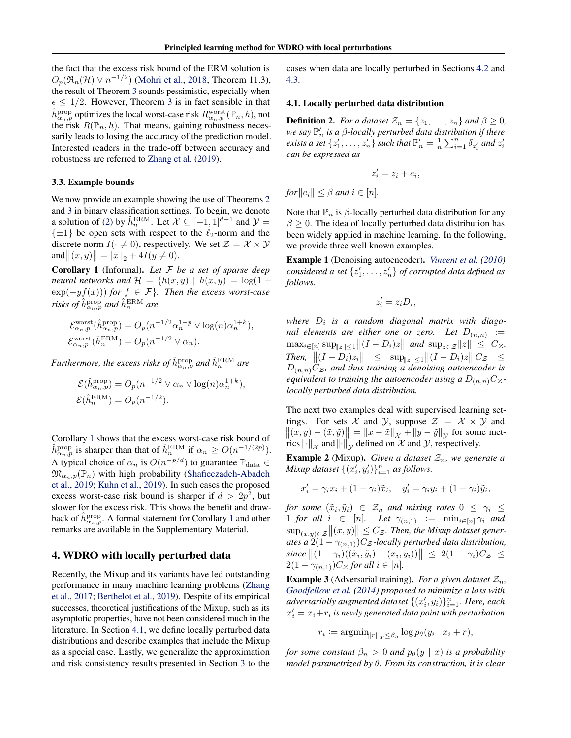<span id="page-4-0"></span>the fact that the excess risk bound of the ERM solution is  $O_p(\mathfrak{R}_n(\mathcal{H}) \vee n^{-1/2})$  [\(Mohri et al.,](#page-9-0) [2018,](#page-9-0) Theorem 11.3), the result of Theorem [3](#page-3-0) sounds pessimistic, especially when  $\epsilon \leq 1/2$ . However, Theorem [3](#page-3-0) is in fact sensible in that  $\hat{h}^{\text{prop}}_{\alpha_n,p}$  optimizes the local worst-case risk  $R^{\text{worst}}_{\alpha_n,p}(\mathbb{P}_n,h)$ , not the risk  $R(\mathbb{P}_n, h)$ . That means, gaining robustness necessarily leads to losing the accuracy of the prediction model. Interested readers in the trade-off between accuracy and robustness are referred to [Zhang et al.](#page-9-0) [\(2019\)](#page-9-0).

#### 3.3. Example bounds

We now provide an example showing the use of Theorems [2](#page-3-0) and [3](#page-3-0) in binary classification settings. To begin, we denote a solution of [\(2\)](#page-0-0) by  $\hat{h}_n^{\text{ERM}}$ . Let  $\mathcal{X} \subseteq [-1,1]^{d-1}$  and  $\mathcal{Y} =$  $\{\pm 1\}$  be open sets with respect to the  $\ell_2$ -norm and the discrete norm  $I(\cdot \neq 0)$ , respectively. We set  $\mathcal{Z} = \mathcal{X} \times \mathcal{Y}$ and  $||(x, y)|| = ||x||_2 + 4I(y \neq 0)$ .

Corollary 1 (Informal). *Let* F *be a set of sparse deep neural networks and*  $\mathcal{H} = \{h(x, y) \mid h(x, y) = \log(1 +$  $\exp(-yf(x))$  *for*  $f \in \mathcal{F}$ *}. Then the excess worst-case* risks of  $\hat{h}^{\text{prop}}_{\alpha_n,p}$  and  $\hat{h}^{\text{ERM}}_n$  are

$$
\mathcal{E}_{\alpha_n,p}^{\text{worst}}(\hat{h}_{\alpha_n,p}^{\text{prop}}) = O_p(n^{-1/2} \alpha_n^{1-p} \vee \log(n) \alpha_n^{1+k}),
$$
  

$$
\mathcal{E}_{\alpha_n,p}^{\text{worst}}(\hat{h}_n^{\text{ERM}}) = O_p(n^{-1/2} \vee \alpha_n).
$$

Furthermore, the excess risks of  $\hat{h}^{\text{prop}}_{\alpha_n,p}$  and  $\hat{h}^{\text{ERM}}_n$  are

$$
\mathcal{E}(\hat{h}_{\alpha_n,p}^{\text{prop}}) = O_p(n^{-1/2} \vee \alpha_n \vee \log(n)\alpha_n^{1+k}),
$$
  

$$
\mathcal{E}(\hat{h}_n^{\text{ERM}}) = O_p(n^{-1/2}).
$$

Corollary 1 shows that the excess worst-case risk bound of  $\hat{h}_{\alpha_n,p}^{\text{prop}}$  is sharper than that of  $\hat{h}_n^{\text{ERM}}$  if  $\alpha_n \geq O(n^{-1/(2p)})$ . A typical choice of  $\alpha_n$  is  $O(n^{-p/d})$  to guarantee  $\mathbb{P}_{\text{data}} \in$  $\mathfrak{M}_{\alpha_n,p}(\mathbb{P}_n)$  with high probability [\(Shafieezadeh-Abadeh](#page-9-0) [et al.,](#page-9-0) [2019;](#page-9-0) [Kuhn et al.,](#page-9-0) [2019\)](#page-9-0). In such cases the proposed excess worst-case risk bound is sharper if  $d > 2p^2$ , but slower for the excess risk. This shows the benefit and drawback of  $\hat{h}_{\alpha_n,p}^{\text{prop}}$ . A formal statement for Corollary 1 and other remarks are available in the Supplementary Material.

# 4. WDRO with locally perturbed data

Recently, the Mixup and its variants have led outstanding performance in many machine learning problems [\(Zhang](#page-9-0) [et al.,](#page-9-0) [2017;](#page-9-0) [Berthelot et al.,](#page-8-0) [2019\)](#page-8-0). Despite of its empirical successes, theoretical justifications of the Mixup, such as its asymptotic properties, have not been considered much in the literature. In Section 4.1, we define locally perturbed data distributions and describe examples that include the Mixup as a special case. Lastly, we generalize the approximation and risk consistency results presented in Section [3](#page-2-0) to the cases when data are locally perturbed in Sections [4.2](#page-5-0) and [4.3.](#page-5-0)

## 4.1. Locally perturbed data distribution

**Definition 2.** *For a dataset*  $\mathcal{Z}_n = \{z_1, \ldots, z_n\}$  *and*  $\beta \geq 0$ *,* we say  $\mathbb{P}_n'$  is a  $\beta$ -locally perturbed data distribution if there *exists a set*  $\{z'_1, \ldots, z'_n\}$  *such that*  $\mathbb{P}'_n = \frac{1}{n} \sum_{i=1}^n \delta_{z'_i}$  *and*  $z'_i$ *can be expressed as*

$$
z_i' = z_i + e_i,
$$

*for* $||e_i|| \leq \beta$  *and*  $i \in [n]$ *.* 

Note that  $\mathbb{P}_n$  is  $\beta$ -locally perturbed data distribution for any  $\beta \geq 0$ . The idea of locally perturbed data distribution has been widely applied in machine learning. In the following, we provide three well known examples.

Example 1 (Denoising autoencoder). *[Vincent et al.](#page-9-0) [\(2010\)](#page-9-0)*  $\emph{considered a set }\{z'_1,\ldots,z'_n\}$  *of corrupted data defined as follows.*

$$
z_i' = z_i D_i,
$$

where  $D_i$  is a random diagonal matrix with diago*nal elements are either one or zero.* Let  $D_{(n,n)}$  :=  $\max_{i \in [n]} \sup_{\|z\| \le 1} \|(I - D_i)z\|$  and  $\sup_{z \in \mathcal{Z}} \|z\| \le C_{\mathcal{Z}}$ .  $\int \text{I}$  *Then,*  $\left\| (I - D_i) z_i \right\| \leq \sup_{\| z \| \leq 1} \left\| (I - D_i) z \right\| C_z \leq$  $D_{(n,n)}C_{\mathcal{Z}}$ *, and thus training a denoising autoencoder is equivalent to training the autoencoder using a*  $D_{(n,n)}C_{\mathcal{Z}}$ *locally perturbed data distribution.*

The next two examples deal with supervised learning settings. For sets X and Y, suppose  $\mathcal{Z} = \mathcal{X} \times \mathcal{Y}$  and  $||(x, y) - (\tilde{x}, \tilde{y})|| = ||x - \tilde{x}||_{\mathcal{X}} + ||y - \tilde{y}||_{\mathcal{Y}}$  for some metrics  $\left\|\cdot\right\|_{\mathcal{X}}$  and  $\left\|\cdot\right\|_{\mathcal{Y}}$  defined on  $\mathcal{X}$  and  $\mathcal{Y}$ , respectively.

**Example 2** (Mixup). *Given a dataset*  $\mathcal{Z}_n$ *, we generate a Mixup dataset*  $\{(x'_i, y'_i)\}_{i=1}^n$  *as follows.* 

$$
x'_{i} = \gamma_{i}x_{i} + (1 - \gamma_{i})\tilde{x}_{i}, \quad y'_{i} = \gamma_{i}y_{i} + (1 - \gamma_{i})\tilde{y}_{i},
$$

*for some*  $(\tilde{x}_i, \tilde{y}_i) \in \mathcal{Z}_n$  and mixing rates  $0 \leq \gamma_i \leq$ 1 *for all*  $i \in [n]$ *. Let*  $\gamma_{(n,1)} := \min_{i \in [n]} \gamma_i$  *and*  $\sup_{(x,y)\in\mathcal{Z}}\|(x,y)\|\leq C_{\mathcal{Z}}.$  Then, the Mixup dataset gener*ates a*  $2(1 - \gamma_{(n,1)})C_z$ *-locally perturbed data distribution,*  $\textit{since } \|(1-\gamma_i)((\tilde{x}_i, \tilde{y}_i) - (x_i, y_i))\| \leq 2(1-\gamma_i)C_{\mathcal{Z}} \leq$  $2(1 - \gamma_{(n,1)})C_{\mathcal{Z}}$  for all  $i \in [n]$ .

**Example 3** (Adversarial training). *For a given dataset*  $\mathcal{Z}_n$ , *[Goodfellow et al.](#page-8-0) [\(2014\)](#page-8-0) proposed to minimize a loss with* adversarially augmented dataset  $\{(x'_i, y_i)\}_{i=1}^n$ . Here, each  $x'_i = x_i + r_i$  is newly generated data point with perturbation

$$
r_i := \operatorname{argmin}_{\|r\|_{\mathcal{X}} \leq \beta_n} \log p_{\theta}(y_i \mid x_i + r),
$$

*for some constant*  $\beta_n > 0$  *and*  $p_\theta(y \mid x)$  *is a probability model parametrized by* θ*. From its construction, it is clear*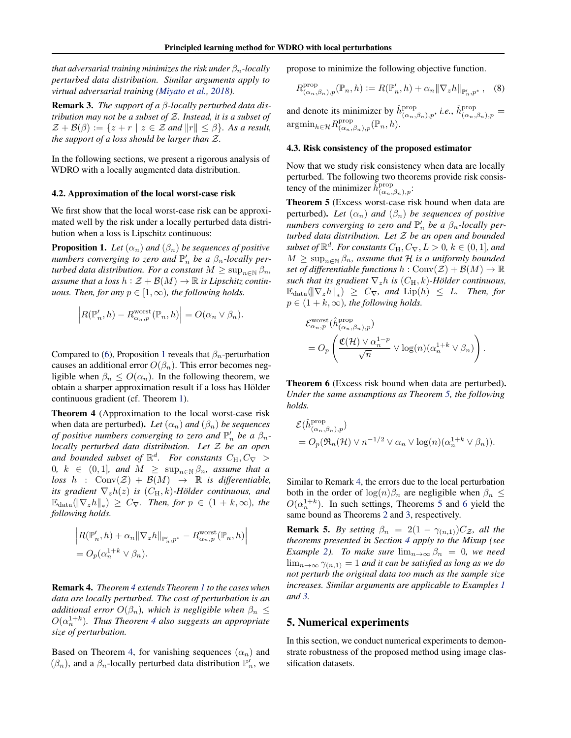<span id="page-5-0"></span>*that adversarial training minimizes the risk under*  $\beta_n$ -locally *perturbed data distribution. Similar arguments apply to virtual adversarial training [\(Miyato et al.,](#page-9-0) [2018\)](#page-9-0).*

Remark 3. *The support of a* β*-locally perturbed data distribution may not be a subset of* Z*. Instead, it is a subset of*  $\mathcal{Z} + \mathcal{B}(\beta) := \{z + r \mid z \in \mathcal{Z} \text{ and } ||r|| \leq \beta\}.$  As a result, *the support of a loss should be larger than* Z*.*

In the following sections, we present a rigorous analysis of WDRO with a locally augmented data distribution.

### 4.2. Approximation of the local worst-case risk

We first show that the local worst-case risk can be approximated well by the risk under a locally perturbed data distribution when a loss is Lipschitz continuous:

**Proposition 1.** Let  $(\alpha_n)$  and  $(\beta_n)$  be sequences of positive *numbers converging to zero and*  $\mathbb{P}'_n$  *be a*  $\beta_n$ -locally per*turbed data distribution. For a constant*  $M \geq \sup_{n \in \mathbb{N}} \beta_n$ , *assume that a loss*  $h : \mathcal{Z} + \mathcal{B}(M) \to \mathbb{R}$  *is Lipschitz continuous. Then, for any*  $p \in [1, \infty)$ *, the following holds.* 

$$
\left| R(\mathbb{P}'_n, h) - R_{\alpha_n, p}^{\text{worst}}(\mathbb{P}_n, h) \right| = O(\alpha_n \vee \beta_n).
$$

Compared to [\(6\)](#page-3-0), Proposition 1 reveals that  $\beta_n$ -perturbation causes an additional error  $O(\beta_n)$ . This error becomes negligible when  $\beta_n \leq O(\alpha_n)$ . In the following theorem, we obtain a sharper approximation result if a loss has Holder ¨ continuous gradient (cf. Theorem [1\)](#page-3-0).

Theorem 4 (Approximation to the local worst-case risk when data are perturbed). *Let*  $(\alpha_n)$  *and*  $(\beta_n)$  *be sequences of positive numbers converging to zero and*  $\mathbb{P}'_n$  *be a*  $\beta_n$ *locally perturbed data distribution. Let* Z *be an open* and bounded subset of  $\mathbb{R}^d$ . For constants  $C_H, C_{\nabla} >$  $0, k \in (0, 1],$  and  $M \geq \sup_{n \in \mathbb{N}} \beta_n$ , assume that a  $\text{loss } h : \text{Conv}(\mathcal{Z}) + \mathcal{B}(M) \rightarrow \mathbb{R} \text{ is differentiable,}$ *its gradient*  $\nabla_z h(z)$  *is*  $(C_H, k)$ *-Hölder continuous, and*  $\mathbb{E}_{\text{data}}(\|\nabla_z h\|_*) \geq C_{\nabla}$ *. Then, for*  $p \in (1 + k, \infty)$ *, the following holds.*

$$
\left| R(\mathbb{P}'_n, h) + \alpha_n \|\nabla_z h\|_{\mathbb{P}'_n, p^*} - R_{\alpha_n, p}^{\text{worst}}(\mathbb{P}_n, h) \right|
$$
  
=  $O_p(\alpha_n^{1+k} \vee \beta_n).$ 

Remark 4. *Theorem 4 extends Theorem [1](#page-3-0) to the cases when data are locally perturbed. The cost of perturbation is an additional error*  $O(\beta_n)$ *, which is negligible when*  $\beta_n \leq$  $O(\alpha_n^{1+k})$ . Thus Theorem 4 also suggests an appropriate *size of perturbation.*

Based on Theorem 4, for vanishing sequences  $(\alpha_n)$  and  $(\beta_n)$ , and a  $\beta_n$ -locally perturbed data distribution  $\mathbb{P}'_n$ , we propose to minimize the following objective function.

$$
R^{\text{prop}}_{(\alpha_n,\beta_n),p}(\mathbb{P}_n,h) := R(\mathbb{P}'_n,h) + \alpha_n \|\nabla_z h\|_{\mathbb{P}'_n,p^*},\quad(8)
$$

and denote its minimizer by  $\hat{h}^{\text{prop}}_{(\alpha_n,\beta_n),p}$ , *i.e.*,  $\hat{h}^{\text{prop}}_{(\alpha_n,\beta_n),p}$  $\operatorname{argmin}_{h \in \mathcal{H}} R^{\text{prop}}_{(\alpha_n)}$  $sup_{(\alpha_n,\beta_n),p}(\mathbb{P}_n,h).$ 

### 4.3. Risk consistency of the proposed estimator

Now that we study risk consistency when data are locally perturbed. The following two theorems provide risk consistency of the minimizer  $\tilde{h}^{\text{prop}}_{(\alpha_n,\beta_n),p}$ :

Theorem 5 (Excess worst-case risk bound when data are perturbed). Let  $(\alpha_n)$  and  $(\beta_n)$  be sequences of positive *numbers converging to zero and*  $\mathbb{P}'_n$  *be a*  $\beta_n$ -locally per*turbed data distribution. Let* Z *be an open and bounded subset of*  $\mathbb{R}^d$ *. For constants*  $C_H, C_\nabla, L > 0$ *,*  $k \in (0, 1]$ *, and*  $M \geq \sup_{n \in \mathbb{N}} \beta_n$ , assume that H is a uniformly bounded *set of differentiable functions*  $h : Conv(\mathcal{Z}) + \mathcal{B}(M) \to \mathbb{R}$ *such that its gradient*  $\nabla_z h$  *is*  $(C_H, k)$ *-Hölder continuous,*  $\mathbb{E}_{\text{data}}(\|\nabla_z h\|_*) \geq C_{\nabla}$ , and  $\text{Lip}(h) \leq L$ . Then, for  $p \in (1 + k, \infty)$ *, the following holds.* 

$$
\mathcal{E}_{\alpha_n,p}^{\text{worst}}(\hat{h}_{(\alpha_n,\beta_n),p}^{\text{prop}})
$$
  
= 
$$
O_p\left(\frac{\mathfrak{C}(\mathcal{H}) \vee \alpha_n^{1-p}}{\sqrt{n}} \vee \log(n)(\alpha_n^{1+k} \vee \beta_n)\right).
$$

Theorem 6 (Excess risk bound when data are perturbed). *Under the same assumptions as Theorem 5, the following holds.*

$$
\mathcal{E}(\hat{h}_{(\alpha_n,\beta_n),p}^{\text{prop}})
$$
  
=  $O_p(\Re_n(\mathcal{H}) \vee n^{-1/2} \vee \alpha_n \vee \log(n)(\alpha_n^{1+k} \vee \beta_n)).$ 

Similar to Remark 4, the errors due to the local perturbation both in the order of  $log(n)\beta_n$  are negligible when  $\beta_n \leq$  $O(\alpha_n^{1+k})$ . In such settings, Theorems 5 and 6 yield the same bound as Theorems [2](#page-3-0) and [3,](#page-3-0) respectively.

**Remark 5.** *By setting*  $\beta_n = 2(1 - \gamma_{(n,1)})C_z$ *, all the theorems presented in Section [4](#page-4-0) apply to the Mixup (see Example* [2\)](#page-4-0)*. To make sure*  $\lim_{n\to\infty} \beta_n = 0$ *, we need*  $\lim_{n\to\infty} \gamma_{(n,1)} = 1$  *and it can be satisfied as long as we do not perturb the original data too much as the sample size increases. Similar arguments are applicable to Examples [1](#page-4-0) and [3.](#page-4-0)*

# 5. Numerical experiments

In this section, we conduct numerical experiments to demonstrate robustness of the proposed method using image classification datasets.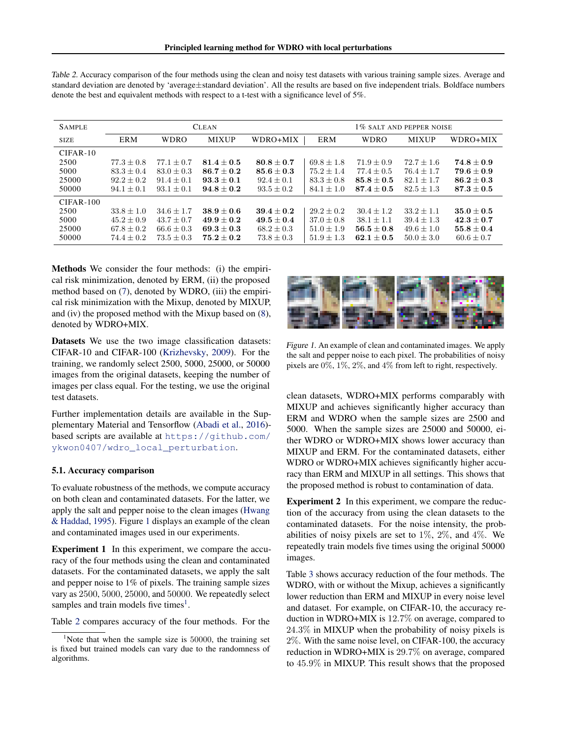| <b>SAMPLE</b> | <b>CLEAN</b> |                |                |                | 1% SALT AND PEPPER NOISE |                |                |                |
|---------------|--------------|----------------|----------------|----------------|--------------------------|----------------|----------------|----------------|
| <b>SIZE</b>   | ERM          | <b>WDRO</b>    | <b>MIXUP</b>   | WDRO+MIX       | <b>ERM</b>               | <b>WDRO</b>    | <b>MIXUP</b>   | WDRO+MIX       |
| $CIFAR-10$    |              |                |                |                |                          |                |                |                |
| 2500          | $77.3 + 0.8$ | $77.1 + 0.7$   | $81.4 + 0.5$   | $80.8 + 0.7$   | $69.8 + 1.8$             | $71.9 + 0.9$   | $72.7 + 1.6$   | $74.8 + 0.9$   |
| 5000          | $83.3 + 0.4$ | $83.0 \pm 0.3$ | $86.7 + 0.2$   | $85.6 + 0.3$   | $75.2 \pm 1.4$           | $77.4 \pm 0.5$ | $76.4 + 1.7$   | $79.6 + 0.9$   |
| 25000         | $92.2 + 0.2$ | $91.4 + 0.1$   | $93.3 + 0.1$   | $92.4 + 0.1$   | $83.3 \pm 0.8$           | $85.8 \pm 0.5$ | $82.1 + 1.7$   | $86.2 \pm 0.3$ |
| 50000         | $94.1 + 0.1$ | $93.1 + 0.1$   | $94.8 \pm 0.2$ | $93.5 + 0.2$   | $84.1 \pm 1.0$           | $87.4 + 0.5$   | $82.5 + 1.3$   | $87.3\pm0.5$   |
| $CIFAR-100$   |              |                |                |                |                          |                |                |                |
| 2500          | $33.8 + 1.0$ | $34.6 + 1.7$   | $38.9 + 0.6$   | $39.4 + 0.2$   | $29.2 + 0.2$             | $30.4 + 1.2$   | $33.2 \pm 1.1$ | $35.0 + 0.5$   |
| 5000          | $45.2 + 0.9$ | $43.7 + 0.7$   | $49.9 + 0.2$   | $49.5 + 0.4$   | $37.0 + 0.8$             | $38.1 + 1.1$   | $39.4 + 1.3$   | $42.3 + 0.7$   |
| 25000         | $67.8 + 0.2$ | $66.6 + 0.3$   | $69.3 + 0.3$   | $68.2 + 0.3$   | $51.0 + 1.9$             | $56.5 + 0.8$   | $49.6 + 1.0$   | $55.8 + 0.4$   |
| 50000         | $74.4 + 0.2$ | $73.5 + 0.3$   | $75.2 \pm 0.2$ | $73.8 \pm 0.3$ | $51.9 \pm 1.3$           | $62.1 + 0.5$   | $50.0 + 3.0$   | $60.6 \pm 0.7$ |

<span id="page-6-0"></span>Table 2. Accuracy comparison of the four methods using the clean and noisy test datasets with various training sample sizes. Average and standard deviation are denoted by 'average±standard deviation'. All the results are based on five independent trials. Boldface numbers denote the best and equivalent methods with respect to a t-test with a significance level of 5%.

Methods We consider the four methods: (i) the empirical risk minimization, denoted by ERM, (ii) the proposed method based on [\(7\)](#page-3-0), denoted by WDRO, (iii) the empirical risk minimization with the Mixup, denoted by MIXUP, and (iv) the proposed method with the Mixup based on [\(8\)](#page-5-0), denoted by WDRO+MIX.

Datasets We use the two image classification datasets: CIFAR-10 and CIFAR-100 [\(Krizhevsky,](#page-8-0) [2009\)](#page-8-0). For the training, we randomly select 2500, 5000, 25000, or 50000 images from the original datasets, keeping the number of images per class equal. For the testing, we use the original test datasets.

Further implementation details are available in the Supplementary Material and Tensorflow [\(Abadi et al.,](#page-8-0) [2016\)](#page-8-0) based scripts are available at [https://github.com/](https://github.com/ykwon0407/wdro_local_perturbation) [ykwon0407/wdro\\_local\\_perturbation](https://github.com/ykwon0407/wdro_local_perturbation).

# 5.1. Accuracy comparison

To evaluate robustness of the methods, we compute accuracy on both clean and contaminated datasets. For the latter, we apply the salt and pepper noise to the clean images [\(Hwang](#page-8-0) [& Haddad,](#page-8-0) [1995\)](#page-8-0). Figure 1 displays an example of the clean and contaminated images used in our experiments.

Experiment 1 In this experiment, we compare the accuracy of the four methods using the clean and contaminated datasets. For the contaminated datasets, we apply the salt and pepper noise to 1% of pixels. The training sample sizes vary as 2500, 5000, 25000, and 50000. We repeatedly select samples and train models five times<sup>1</sup>.

Table 2 compares accuracy of the four methods. For the



Figure 1. An example of clean and contaminated images. We apply the salt and pepper noise to each pixel. The probabilities of noisy pixels are 0%, 1%, 2%, and 4% from left to right, respectively.

clean datasets, WDRO+MIX performs comparably with MIXUP and achieves significantly higher accuracy than ERM and WDRO when the sample sizes are 2500 and 5000. When the sample sizes are 25000 and 50000, either WDRO or WDRO+MIX shows lower accuracy than MIXUP and ERM. For the contaminated datasets, either WDRO or WDRO+MIX achieves significantly higher accuracy than ERM and MIXUP in all settings. This shows that the proposed method is robust to contamination of data.

Experiment 2 In this experiment, we compare the reduction of the accuracy from using the clean datasets to the contaminated datasets. For the noise intensity, the probabilities of noisy pixels are set to  $1\%$ ,  $2\%$ , and  $4\%$ . We repeatedly train models five times using the original 50000 images.

Table [3](#page-7-0) shows accuracy reduction of the four methods. The WDRO, with or without the Mixup, achieves a significantly lower reduction than ERM and MIXUP in every noise level and dataset. For example, on CIFAR-10, the accuracy reduction in WDRO+MIX is 12.7% on average, compared to 24.3% in MIXUP when the probability of noisy pixels is 2%. With the same noise level, on CIFAR-100, the accuracy reduction in WDRO+MIX is 29.7% on average, compared to 45.9% in MIXUP. This result shows that the proposed

<sup>&</sup>lt;sup>1</sup>Note that when the sample size is  $50000$ , the training set is fixed but trained models can vary due to the randomness of algorithms.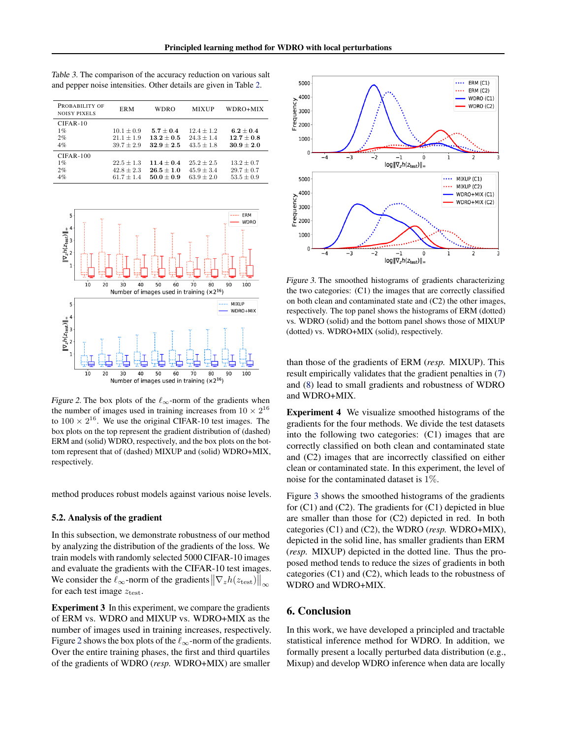| PROBABILITY OF<br><b>NOISY PIXELS</b> | <b>ERM</b>                                         | <b>WDRO</b>                                    | <b>MIXUP</b>                                   | WDRO+MIX                                         |
|---------------------------------------|----------------------------------------------------|------------------------------------------------|------------------------------------------------|--------------------------------------------------|
| $CIFAR-10$<br>1%<br>2%<br>4%          | $10.1 \pm 0.9$<br>$21.1 \pm 1.9$<br>$39.7 \pm 2.9$ | $5.7 + 0.4$<br>$13.2 + 0.5$<br>$32.9 + 2.5$    | $12.4 + 1.2$<br>$24.3 + 1.4$<br>$43.5 \pm 1.8$ | $6.2 + 0.4$<br>$12.7 + 0.8$<br>$30.9 + 2.0$      |
| $CIFAR-100$<br>1%<br>2%<br>4%         | $22.5 \pm 1.3$<br>$42.8 \pm 2.3$<br>$61.7 + 1.4$   | $11.4 + 0.4$<br>$26.5 \pm 1.0$<br>$50.0 + 0.9$ | $25.2 + 2.5$<br>$45.9 \pm 3.4$<br>$63.9 + 2.0$ | $13.2 + 0.7$<br>$29.7 \pm 0.7$<br>$53.5 \pm 0.9$ |

<span id="page-7-0"></span>Table 3. The comparison of the accuracy reduction on various salt and pepper noise intensities. Other details are given in Table [2.](#page-6-0)



Figure 2. The box plots of the  $\ell_{\infty}$ -norm of the gradients when the number of images used in training increases from  $10 \times 2^{16}$ to  $100 \times 2^{16}$ . We use the original CIFAR-10 test images. The box plots on the top represent the gradient distribution of (dashed) ERM and (solid) WDRO, respectively, and the box plots on the bottom represent that of (dashed) MIXUP and (solid) WDRO+MIX, respectively.

method produces robust models against various noise levels.

### 5.2. Analysis of the gradient

In this subsection, we demonstrate robustness of our method by analyzing the distribution of the gradients of the loss. We train models with randomly selected 5000 CIFAR-10 images and evaluate the gradients with the CIFAR-10 test images. We consider the  $\ell_{\infty}$ -norm of the gradients  $\|\nabla_z h(z_{\text{test}})\|_{\infty}$ for each test image  $z_{\text{test}}$ .

Experiment 3 In this experiment, we compare the gradients of ERM vs. WDRO and MIXUP vs. WDRO+MIX as the number of images used in training increases, respectively. Figure 2 shows the box plots of the  $\ell_{\infty}$ -norm of the gradients. Over the entire training phases, the first and third quartiles of the gradients of WDRO (*resp.* WDRO+MIX) are smaller



Figure 3. The smoothed histograms of gradients characterizing the two categories: (C1) the images that are correctly classified on both clean and contaminated state and (C2) the other images, respectively. The top panel shows the histograms of ERM (dotted) vs. WDRO (solid) and the bottom panel shows those of MIXUP (dotted) vs. WDRO+MIX (solid), respectively.

than those of the gradients of ERM (*resp.* MIXUP). This result empirically validates that the gradient penalties in [\(7\)](#page-3-0) and [\(8\)](#page-5-0) lead to small gradients and robustness of WDRO and WDRO+MIX.

Experiment 4 We visualize smoothed histograms of the gradients for the four methods. We divide the test datasets into the following two categories: (C1) images that are correctly classified on both clean and contaminated state and (C2) images that are incorrectly classified on either clean or contaminated state. In this experiment, the level of noise for the contaminated dataset is 1%.

Figure 3 shows the smoothed histograms of the gradients for (C1) and (C2). The gradients for (C1) depicted in blue are smaller than those for (C2) depicted in red. In both categories (C1) and (C2), the WDRO (*resp.* WDRO+MIX), depicted in the solid line, has smaller gradients than ERM (*resp.* MIXUP) depicted in the dotted line. Thus the proposed method tends to reduce the sizes of gradients in both categories (C1) and (C2), which leads to the robustness of WDRO and WDRO+MIX.

# 6. Conclusion

In this work, we have developed a principled and tractable statistical inference method for WDRO. In addition, we formally present a locally perturbed data distribution (e.g., Mixup) and develop WDRO inference when data are locally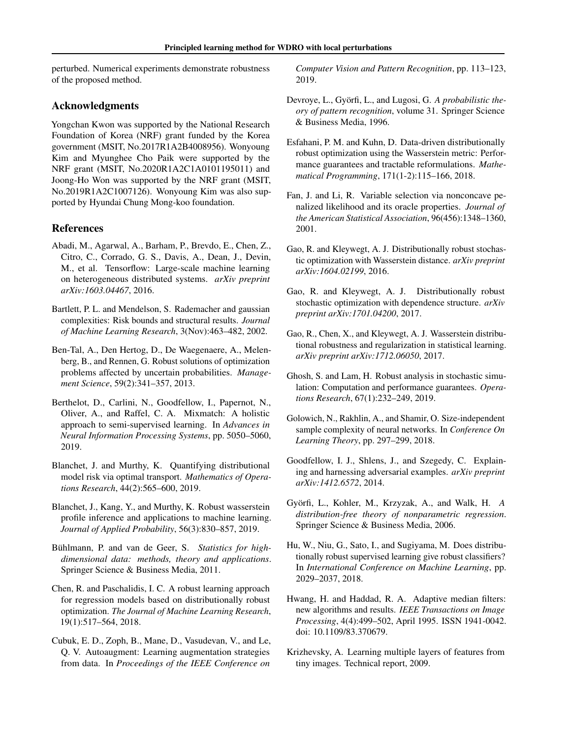<span id="page-8-0"></span>perturbed. Numerical experiments demonstrate robustness of the proposed method.

# Acknowledgments

Yongchan Kwon was supported by the National Research Foundation of Korea (NRF) grant funded by the Korea government (MSIT, No.2017R1A2B4008956). Wonyoung Kim and Myunghee Cho Paik were supported by the NRF grant (MSIT, No.2020R1A2C1A0101195011) and Joong-Ho Won was supported by the NRF grant (MSIT, No.2019R1A2C1007126). Wonyoung Kim was also supported by Hyundai Chung Mong-koo foundation.

# References

- Abadi, M., Agarwal, A., Barham, P., Brevdo, E., Chen, Z., Citro, C., Corrado, G. S., Davis, A., Dean, J., Devin, M., et al. Tensorflow: Large-scale machine learning on heterogeneous distributed systems. *arXiv preprint arXiv:1603.04467*, 2016.
- Bartlett, P. L. and Mendelson, S. Rademacher and gaussian complexities: Risk bounds and structural results. *Journal of Machine Learning Research*, 3(Nov):463–482, 2002.
- Ben-Tal, A., Den Hertog, D., De Waegenaere, A., Melenberg, B., and Rennen, G. Robust solutions of optimization problems affected by uncertain probabilities. *Management Science*, 59(2):341–357, 2013.
- Berthelot, D., Carlini, N., Goodfellow, I., Papernot, N., Oliver, A., and Raffel, C. A. Mixmatch: A holistic approach to semi-supervised learning. In *Advances in Neural Information Processing Systems*, pp. 5050–5060, 2019.
- Blanchet, J. and Murthy, K. Quantifying distributional model risk via optimal transport. *Mathematics of Operations Research*, 44(2):565–600, 2019.
- Blanchet, J., Kang, Y., and Murthy, K. Robust wasserstein profile inference and applications to machine learning. *Journal of Applied Probability*, 56(3):830–857, 2019.
- Bühlmann, P. and van de Geer, S. Statistics for high*dimensional data: methods, theory and applications*. Springer Science & Business Media, 2011.
- Chen, R. and Paschalidis, I. C. A robust learning approach for regression models based on distributionally robust optimization. *The Journal of Machine Learning Research*, 19(1):517–564, 2018.
- Cubuk, E. D., Zoph, B., Mane, D., Vasudevan, V., and Le, Q. V. Autoaugment: Learning augmentation strategies from data. In *Proceedings of the IEEE Conference on*

*Computer Vision and Pattern Recognition*, pp. 113–123, 2019.

- Devroye, L., Györfi, L., and Lugosi, G. A *probabilistic theory of pattern recognition*, volume 31. Springer Science & Business Media, 1996.
- Esfahani, P. M. and Kuhn, D. Data-driven distributionally robust optimization using the Wasserstein metric: Performance guarantees and tractable reformulations. *Mathematical Programming*, 171(1-2):115–166, 2018.
- Fan, J. and Li, R. Variable selection via nonconcave penalized likelihood and its oracle properties. *Journal of the American Statistical Association*, 96(456):1348–1360, 2001.
- Gao, R. and Kleywegt, A. J. Distributionally robust stochastic optimization with Wasserstein distance. *arXiv preprint arXiv:1604.02199*, 2016.
- Gao, R. and Kleywegt, A. J. Distributionally robust stochastic optimization with dependence structure. *arXiv preprint arXiv:1701.04200*, 2017.
- Gao, R., Chen, X., and Kleywegt, A. J. Wasserstein distributional robustness and regularization in statistical learning. *arXiv preprint arXiv:1712.06050*, 2017.
- Ghosh, S. and Lam, H. Robust analysis in stochastic simulation: Computation and performance guarantees. *Operations Research*, 67(1):232–249, 2019.
- Golowich, N., Rakhlin, A., and Shamir, O. Size-independent sample complexity of neural networks. In *Conference On Learning Theory*, pp. 297–299, 2018.
- Goodfellow, I. J., Shlens, J., and Szegedy, C. Explaining and harnessing adversarial examples. *arXiv preprint arXiv:1412.6572*, 2014.
- Györfi, L., Kohler, M., Krzyzak, A., and Walk, H. A *distribution-free theory of nonparametric regression*. Springer Science & Business Media, 2006.
- Hu, W., Niu, G., Sato, I., and Sugiyama, M. Does distributionally robust supervised learning give robust classifiers? In *International Conference on Machine Learning*, pp. 2029–2037, 2018.
- Hwang, H. and Haddad, R. A. Adaptive median filters: new algorithms and results. *IEEE Transactions on Image Processing*, 4(4):499–502, April 1995. ISSN 1941-0042. doi: 10.1109/83.370679.
- Krizhevsky, A. Learning multiple layers of features from tiny images. Technical report, 2009.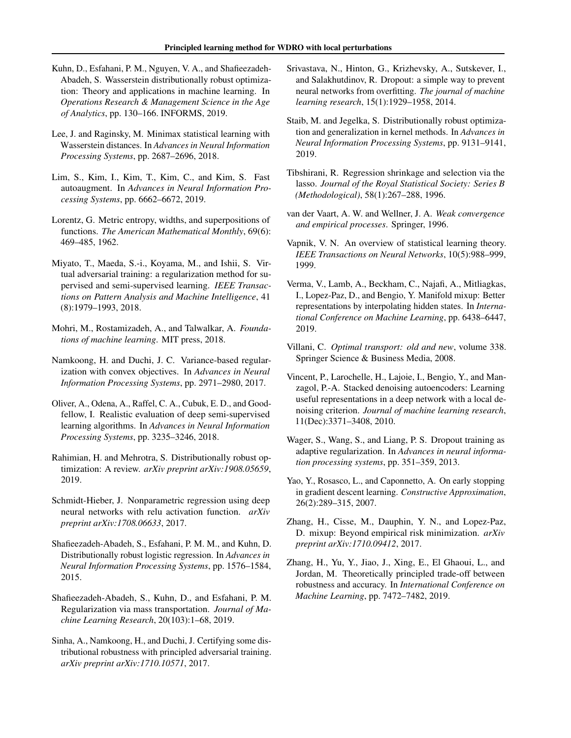- <span id="page-9-0"></span>Kuhn, D., Esfahani, P. M., Nguyen, V. A., and Shafieezadeh-Abadeh, S. Wasserstein distributionally robust optimization: Theory and applications in machine learning. In *Operations Research & Management Science in the Age of Analytics*, pp. 130–166. INFORMS, 2019.
- Lee, J. and Raginsky, M. Minimax statistical learning with Wasserstein distances. In *Advances in Neural Information Processing Systems*, pp. 2687–2696, 2018.
- Lim, S., Kim, I., Kim, T., Kim, C., and Kim, S. Fast autoaugment. In *Advances in Neural Information Processing Systems*, pp. 6662–6672, 2019.
- Lorentz, G. Metric entropy, widths, and superpositions of functions. *The American Mathematical Monthly*, 69(6): 469–485, 1962.
- Miyato, T., Maeda, S.-i., Koyama, M., and Ishii, S. Virtual adversarial training: a regularization method for supervised and semi-supervised learning. *IEEE Transactions on Pattern Analysis and Machine Intelligence*, 41 (8):1979–1993, 2018.
- Mohri, M., Rostamizadeh, A., and Talwalkar, A. *Foundations of machine learning*. MIT press, 2018.
- Namkoong, H. and Duchi, J. C. Variance-based regularization with convex objectives. In *Advances in Neural Information Processing Systems*, pp. 2971–2980, 2017.
- Oliver, A., Odena, A., Raffel, C. A., Cubuk, E. D., and Goodfellow, I. Realistic evaluation of deep semi-supervised learning algorithms. In *Advances in Neural Information Processing Systems*, pp. 3235–3246, 2018.
- Rahimian, H. and Mehrotra, S. Distributionally robust optimization: A review. *arXiv preprint arXiv:1908.05659*, 2019.
- Schmidt-Hieber, J. Nonparametric regression using deep neural networks with relu activation function. *arXiv preprint arXiv:1708.06633*, 2017.
- Shafieezadeh-Abadeh, S., Esfahani, P. M. M., and Kuhn, D. Distributionally robust logistic regression. In *Advances in Neural Information Processing Systems*, pp. 1576–1584, 2015.
- Shafieezadeh-Abadeh, S., Kuhn, D., and Esfahani, P. M. Regularization via mass transportation. *Journal of Machine Learning Research*, 20(103):1–68, 2019.
- Sinha, A., Namkoong, H., and Duchi, J. Certifying some distributional robustness with principled adversarial training. *arXiv preprint arXiv:1710.10571*, 2017.
- Srivastava, N., Hinton, G., Krizhevsky, A., Sutskever, I., and Salakhutdinov, R. Dropout: a simple way to prevent neural networks from overfitting. *The journal of machine learning research*, 15(1):1929–1958, 2014.
- Staib, M. and Jegelka, S. Distributionally robust optimization and generalization in kernel methods. In *Advances in Neural Information Processing Systems*, pp. 9131–9141, 2019.
- Tibshirani, R. Regression shrinkage and selection via the lasso. *Journal of the Royal Statistical Society: Series B (Methodological)*, 58(1):267–288, 1996.
- van der Vaart, A. W. and Wellner, J. A. *Weak convergence and empirical processes*. Springer, 1996.
- Vapnik, V. N. An overview of statistical learning theory. *IEEE Transactions on Neural Networks*, 10(5):988–999, 1999.
- Verma, V., Lamb, A., Beckham, C., Najafi, A., Mitliagkas, I., Lopez-Paz, D., and Bengio, Y. Manifold mixup: Better representations by interpolating hidden states. In *International Conference on Machine Learning*, pp. 6438–6447, 2019.
- Villani, C. *Optimal transport: old and new*, volume 338. Springer Science & Business Media, 2008.
- Vincent, P., Larochelle, H., Lajoie, I., Bengio, Y., and Manzagol, P.-A. Stacked denoising autoencoders: Learning useful representations in a deep network with a local denoising criterion. *Journal of machine learning research*, 11(Dec):3371–3408, 2010.
- Wager, S., Wang, S., and Liang, P. S. Dropout training as adaptive regularization. In *Advances in neural information processing systems*, pp. 351–359, 2013.
- Yao, Y., Rosasco, L., and Caponnetto, A. On early stopping in gradient descent learning. *Constructive Approximation*, 26(2):289–315, 2007.
- Zhang, H., Cisse, M., Dauphin, Y. N., and Lopez-Paz, D. mixup: Beyond empirical risk minimization. *arXiv preprint arXiv:1710.09412*, 2017.
- Zhang, H., Yu, Y., Jiao, J., Xing, E., El Ghaoui, L., and Jordan, M. Theoretically principled trade-off between robustness and accuracy. In *International Conference on Machine Learning*, pp. 7472–7482, 2019.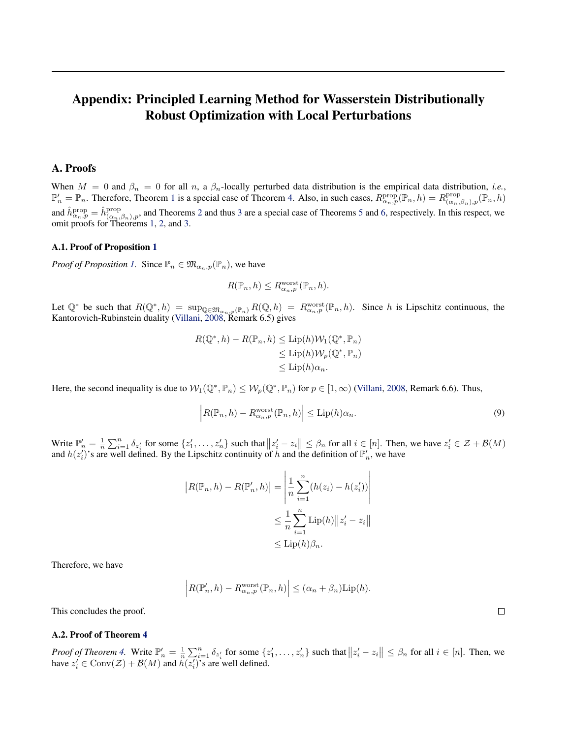# <span id="page-10-0"></span>Appendix: Principled Learning Method for Wasserstein Distributionally Robust Optimization with Local Perturbations

# A. Proofs

When  $M = 0$  and  $\beta_n = 0$  for all n, a  $\beta_n$ -locally perturbed data distribution is the empirical data distribution, *i.e.*,  $\mathbb{P}'_n = \mathbb{P}_n$ . Therefore, Theorem [1](#page-3-0) is a special case of Theorem [4.](#page-5-0) Also, in such cases,  $R_{\alpha_n,p}^{\text{prop}}(\mathbb{P}_n, h) = R_{(\alpha_n,p)}^{\text{prop}}(\mathbb{P}_n, h)$  $\Pr^{\text{prop}}(\alpha_n, \beta_n), p(\mathbb{P}_n, h)$ and  $\hat{h}_{\alpha_n,p}^{\text{prop}} = \hat{h}_{(\alpha_n,\beta_n),p}^{\text{prop}}$ , and Theorems [2](#page-3-0) and thus [3](#page-3-0) are a special case of Theorems [5](#page-5-0) and [6,](#page-5-0) respectively. In this respect, we omit proofs for Theorems [1,](#page-3-0) [2,](#page-3-0) and [3.](#page-3-0)

### A.1. Proof of Proposition [1](#page-5-0)

*Proof of Proposition [1.](#page-5-0)* Since  $\mathbb{P}_n \in \mathfrak{M}_{\alpha_n,p}(\mathbb{P}_n)$ , we have

$$
R(\mathbb{P}_n, h) \le R_{\alpha_n, p}^{\text{worst}}(\mathbb{P}_n, h).
$$

Let  $\mathbb{Q}^*$  be such that  $R(\mathbb{Q}^*, h) = \sup_{\mathbb{Q} \in \mathfrak{M}_{\alpha_n, p}(\mathbb{P}_n)} R(\mathbb{Q}, h) = R_{\alpha_n, p}^{\text{worst}}(\mathbb{P}_n, h)$ . Since h is Lipschitz continuous, the Kantorovich-Rubinstein duality [\(Villani,](#page-9-0) [2008,](#page-9-0) Remark 6.5) gives

$$
R(\mathbb{Q}^*, h) - R(\mathbb{P}_n, h) \le \text{Lip}(h) \mathcal{W}_1(\mathbb{Q}^*, \mathbb{P}_n)
$$
  
\n
$$
\le \text{Lip}(h) \mathcal{W}_p(\mathbb{Q}^*, \mathbb{P}_n)
$$
  
\n
$$
\le \text{Lip}(h) \alpha_n.
$$

Here, the second inequality is due to  $W_1(\mathbb{Q}^*, \mathbb{P}_n) \le W_p(\mathbb{Q}^*, \mathbb{P}_n)$  for  $p \in [1, \infty)$  [\(Villani,](#page-9-0) [2008,](#page-9-0) Remark 6.6). Thus,

$$
\left| R(\mathbb{P}_n, h) - R_{\alpha_n, p}^{\text{worst}}(\mathbb{P}_n, h) \right| \le \text{Lip}(h)\alpha_n.
$$
\n(9)

Write  $\mathbb{P}_n' = \frac{1}{n} \sum_{i=1}^n \delta_{z_i'}$  for some  $\{z_1', \ldots, z_n'\}$  such that  $||z_i' - z_i|| \leq \beta_n$  for all  $i \in [n]$ . Then, we have  $z_i' \in \mathcal{Z} + \mathcal{B}(M)$ and  $h(z_i')$ 's are well defined. By the Lipschitz continuity of h and the definition of  $\mathbb{P}'_n$ , we have

$$
|R(\mathbb{P}_n, h) - R(\mathbb{P}'_n, h)| = \left| \frac{1}{n} \sum_{i=1}^n (h(z_i) - h(z'_i)) \right|
$$
  

$$
\leq \frac{1}{n} \sum_{i=1}^n \text{Lip}(h) \|z'_i - z_i\|
$$
  

$$
\leq \text{Lip}(h)\beta_n.
$$

Therefore, we have

$$
\left| R(\mathbb{P}'_n, h) - R_{\alpha_n, p}^{\text{worst}}(\mathbb{P}_n, h) \right| \leq (\alpha_n + \beta_n) \text{Lip}(h).
$$

This concludes the proof.

### A.2. Proof of Theorem [4](#page-5-0)

*Proof of Theorem [4.](#page-5-0)* Write  $\mathbb{P}'_n = \frac{1}{n} \sum_{i=1}^n \delta_{z_i'}$  for some  $\{z_1', \ldots, z_n'\}$  such that  $||z_i' - z_i|| \leq \beta_n$  for all  $i \in [n]$ . Then, we have  $z_i' \in \text{Conv}(\mathcal{Z}) + \mathcal{B}(M)$  and  $h(z_i')$ 's are well defined.

 $\Box$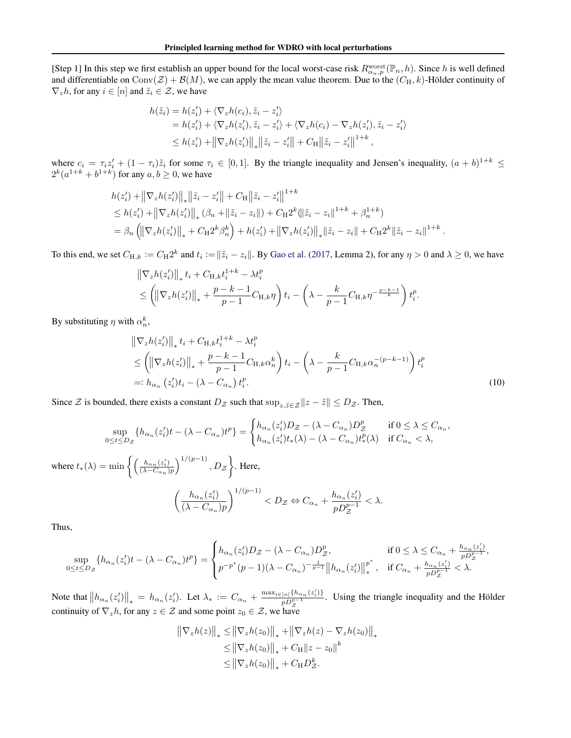<span id="page-11-0"></span>[Step 1] In this step we first establish an upper bound for the local worst-case risk  $R_{\alpha_n,p}^{\text{worst}}(\mathbb{P}_n,h)$ . Since h is well defined and differentiable on Conv( $\mathcal{Z}$ ) +  $\mathcal{B}(M)$ , we can apply the mean value theorem. Due to the  $(C_H, k)$ -Hölder continuity of  $\nabla_z h$ , for any  $i \in [n]$  and  $\tilde{z}_i \in \mathcal{Z}$ , we have

$$
h(\tilde{z}_i) = h(z'_i) + \langle \nabla_z h(c_i), \tilde{z}_i - z'_i \rangle
$$
  
=  $h(z'_i) + \langle \nabla_z h(z'_i), \tilde{z}_i - z'_i \rangle + \langle \nabla_z h(c_i) - \nabla_z h(z'_i), \tilde{z}_i - z'_i \rangle$   

$$
\leq h(z'_i) + ||\nabla_z h(z'_i)||_* ||\tilde{z}_i - z'_i|| + C_H ||\tilde{z}_i - z'_i||^{1+k},
$$

where  $c_i = \tau_i z'_i + (1 - \tau_i) \tilde{z}_i$  for some  $\tau_i \in [0, 1]$ . By the triangle inequality and Jensen's inequality,  $(a + b)^{1+k} \le$  $2^k(a^{1+k}+b^{1+k})$  for any  $a, b \ge 0$ , we have

$$
h(z'_{i}) + ||\nabla_{z}h(z'_{i})||_{*} ||\tilde{z}_{i} - z'_{i}|| + C_{\mathcal{H}} ||\tilde{z}_{i} - z'_{i}||^{1+k}
$$
  
\n
$$
\leq h(z'_{i}) + ||\nabla_{z}h(z'_{i})||_{*} (\beta_{n} + ||\tilde{z}_{i} - z_{i}||) + C_{\mathcal{H}} 2^{k} (||\tilde{z}_{i} - z_{i}||^{1+k} + \beta_{n}^{1+k})
$$
  
\n
$$
= \beta_{n} (||\nabla_{z}h(z'_{i})||_{*} + C_{\mathcal{H}} 2^{k} \beta_{n}^{k}) + h(z'_{i}) + ||\nabla_{z}h(z'_{i})||_{*} ||\tilde{z}_{i} - z_{i}|| + C_{\mathcal{H}} 2^{k} ||\tilde{z}_{i} - z_{i}||^{1+k}.
$$

To this end, we set  $C_{H,k} := C_H 2^k$  and  $t_i := \|\tilde{z}_i - z_i\|$ . By [Gao et al.](#page-8-0) [\(2017,](#page-8-0) Lemma 2), for any  $\eta > 0$  and  $\lambda \ge 0$ , we have

$$
\|\nabla_z h(z_i')\|_* t_i + C_{\mathcal{H},k} t_i^{1+k} - \lambda t_i^p
$$
  
\n
$$
\leq \left( \|\nabla_z h(z_i')\|_* + \frac{p-k-1}{p-1} C_{\mathcal{H},k} \eta \right) t_i - \left( \lambda - \frac{k}{p-1} C_{\mathcal{H},k} \eta^{-\frac{p-k-1}{k}} \right) t_i^p.
$$

By substituting  $\eta$  with  $\alpha_n^k$ ,

$$
\|\nabla_z h(z_i')\|_* t_i + C_{\mathcal{H},k} t_i^{1+k} - \lambda t_i^p
$$
  
\n
$$
\leq \left( \|\nabla_z h(z_i')\|_* + \frac{p-k-1}{p-1} C_{\mathcal{H},k} \alpha_n^k \right) t_i - \left( \lambda - \frac{k}{p-1} C_{\mathcal{H},k} \alpha_n^{-(p-k-1)} \right) t_i^p
$$
  
\n
$$
=: h_{\alpha_n} (z_i') t_i - (\lambda - C_{\alpha_n}) t_i^p.
$$
\n(10)

Since  $\mathcal Z$  is bounded, there exists a constant  $D_{\mathcal Z}$  such that  $\sup_{z,\tilde{z}\in\mathcal Z}\|z-\tilde{z}\|\leq D_{\mathcal Z}$ . Then,

$$
\sup_{0 \le t \le D_Z} \{ h_{\alpha_n}(z_i')t - (\lambda - C_{\alpha_n})t^p \} = \begin{cases} h_{\alpha_n}(z_i')D_Z - (\lambda - C_{\alpha_n})D_Z^p & \text{if } 0 \le \lambda \le C_{\alpha_n}, \\ h_{\alpha_n}(z_i')t_*(\lambda) - (\lambda - C_{\alpha_n})t^p_*(\lambda) & \text{if } C_{\alpha_n} < \lambda, \end{cases}
$$
\nwhere  $t_*(\lambda) = \min \left\{ \left( \frac{h_{\alpha_n}(z_i')}{(\lambda - C_{\alpha_n})p} \right)^{1/(p-1)}, D_Z \right\}$ . Here,

\n
$$
\left( \frac{h_{\alpha_n}(z_i')}{(\lambda - C_{\alpha_n})p} \right)^{1/(p-1)} < D_Z \Leftrightarrow C_{\alpha_n} + \frac{h_{\alpha_n}(z_i')}{pD_Z^{p-1}} < \lambda.
$$

Thus,

$$
\sup_{0 \le t \le D_Z} \{ h_{\alpha_n}(z'_i) t - (\lambda - C_{\alpha_n}) t^p \} = \begin{cases} h_{\alpha_n}(z'_i) D_Z - (\lambda - C_{\alpha_n}) D_Z^p, & \text{if } 0 \le \lambda \le C_{\alpha_n} + \frac{h_{\alpha_n}(z'_i)}{p D_Z^{p-1}}, \\ p^{-p^*}(p-1)(\lambda - C_{\alpha_n})^{-\frac{1}{p-1}} \left\| h_{\alpha_n}(z'_i) \right\|_{*}^{p^*}, & \text{if } C_{\alpha_n} + \frac{h_{\alpha_n}(z'_i)}{p D_Z^{p-1}} < \lambda. \end{cases}
$$

Note that  $||h_{\alpha_n}(z'_i)||_* = h_{\alpha_n}(z'_i)$ . Let  $\lambda_* := C_{\alpha_n} + \frac{\max_{i \in [n]} \{h_{\alpha_n}(z'_i)\}}{p D_z^{p-1}}$  $\frac{\ln 1^{t/\alpha} \alpha_n(z_i)}{p D_z^{p-1}}$ . Using the triangle inequality and the Hölder continuity of  $\nabla_z h$ , for any  $z \in \mathcal{Z}$  and some point  $z_0 \in \mathcal{Z}$ , we have

$$
\|\nabla_z h(z)\|_* \le \|\nabla_z h(z_0)\|_* + \|\nabla_z h(z) - \nabla_z h(z_0)\|_*\le \|\nabla_z h(z_0)\|_* + C_H \|z - z_0\|^k\le \|\nabla_z h(z_0)\|_* + C_H D_{\mathcal{Z}}^k.
$$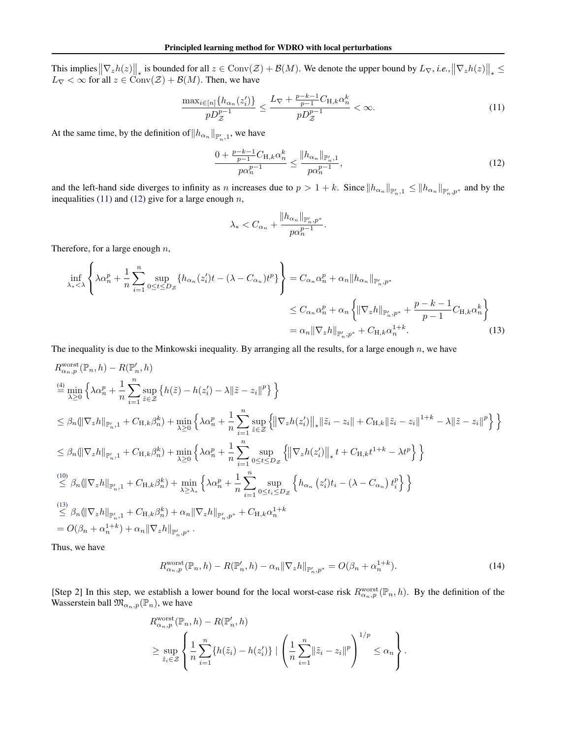<span id="page-12-0"></span>This implies  $\|\nabla_z h(z)\|_*$  is bounded for all  $z \in \text{Conv}(\mathcal{Z}) + \mathcal{B}(M)$ . We denote the upper bound by  $L_{\nabla}$ , *i.e.*,  $\|\nabla_z h(z)\|_* \leq$  $L_{\nabla} < \infty$  for all  $z \in \text{Conv}(\mathcal{Z}) + \mathcal{B}(M)$ . Then, we have

$$
\frac{\max_{i\in[n]}\{h_{\alpha_n}(z_i')\}}{pD_Z^{p-1}} \le \frac{L_{\nabla} + \frac{p-k-1}{p-1}C_{H,k}\alpha_n^k}{pD_Z^{p-1}} < \infty.
$$
\n(11)

At the same time, by the definition of  $||h_{\alpha_n}||_{\mathbb{P}'_{n,1}}$ , we have

$$
\frac{0 + \frac{p - k - 1}{p - 1} C_{H,k} \alpha_n^k}{p \alpha_n^{p - 1}} \le \frac{\|h_{\alpha_n}\|_{\mathbb{P}_n', 1}}{p \alpha_n^{p - 1}},\tag{12}
$$

and the left-hand side diverges to infinity as *n* increases due to  $p > 1 + k$ . Since  $||h_{\alpha_n}||_{\mathbb{P}'_{n},p} \le ||h_{\alpha_n}||_{\mathbb{P}'_{n},p^*}$  and by the inequalities (11) and (12) give for a large enough  $n$ ,

$$
\lambda_* < C_{\alpha_n} + \frac{\|h_{\alpha_n}\|_{\mathbb{P}_n', p^*}}{p\alpha_n^{p-1}}.
$$

Therefore, for a large enough  $n$ ,

$$
\inf_{\lambda_* < \lambda} \left\{ \lambda \alpha_n^p + \frac{1}{n} \sum_{i=1}^n \sup_{0 \le t \le D_{\mathcal{Z}}} \{ h_{\alpha_n}(z_i')t - (\lambda - C_{\alpha_n})t^p \} \right\} = C_{\alpha_n} \alpha_n^p + \alpha_n \| h_{\alpha_n} \|_{\mathbb{P}'_{n}, p^*}
$$
\n
$$
\le C_{\alpha_n} \alpha_n^p + \alpha_n \left\{ \| \nabla_z h \|_{\mathbb{P}'_{n}, p^*} + \frac{p - k - 1}{p - 1} C_{H, k} \alpha_n^k \right\}
$$
\n
$$
= \alpha_n \| \nabla_z h \|_{\mathbb{P}'_{n}, p^*} + C_{H, k} \alpha_n^{1 + k}.
$$
\n(13)

The inequality is due to the Minkowski inequality. By arranging all the results, for a large enough  $n$ , we have

$$
R_{\alpha_{n},p}^{\text{worst}}(\mathbb{P}_{n},h) - R(\mathbb{P}'_{n},h)
$$
\n
$$
\stackrel{(4)}{=} \min_{\lambda \geq 0} \left\{ \lambda \alpha_{n}^{p} + \frac{1}{n} \sum_{i=1}^{n} \sup_{\tilde{z} \in \mathcal{Z}} \left\{ h(\tilde{z}) - h(z_{i}') - \lambda \|\tilde{z} - z_{i}\|^{p} \right\} \right\}
$$
\n
$$
\leq \beta_{n} (\|\nabla_{z}h\|_{\mathbb{P}'_{n},1} + C_{\mathcal{H},k}\beta_{n}^{k}) + \min_{\lambda \geq 0} \left\{ \lambda \alpha_{n}^{p} + \frac{1}{n} \sum_{i=1}^{n} \sup_{\tilde{z} \in \mathcal{Z}} \left\{ \|\nabla_{z}h(z_{i}')\|_{*} \|\tilde{z}_{i} - z_{i}\| + C_{\mathcal{H},k} \|\tilde{z}_{i} - z_{i}\|^{1+k} - \lambda \|\tilde{z} - z_{i}\|^{p} \right\} \right\}
$$
\n
$$
\leq \beta_{n} (\|\nabla_{z}h\|_{\mathbb{P}'_{n},1} + C_{\mathcal{H},k}\beta_{n}^{k}) + \min_{\lambda \geq 0} \left\{ \lambda \alpha_{n}^{p} + \frac{1}{n} \sum_{i=1}^{n} \sup_{0 \leq t \leq D_{\mathcal{Z}}} \left\{ \|\nabla_{z}h(z_{i}')\|_{*} + C_{\mathcal{H},k}t^{1+k} - \lambda t^{p} \right\} \right\}
$$
\n
$$
\stackrel{(10)}{\leq} \beta_{n} (\|\nabla_{z}h\|_{\mathbb{P}'_{n},1} + C_{\mathcal{H},k}\beta_{n}^{k}) + \min_{\lambda \geq \lambda} \left\{ \lambda \alpha_{n}^{p} + \frac{1}{n} \sum_{i=1}^{n} \sup_{0 \leq t \leq D_{\mathcal{Z}}} \left\{ h_{\alpha_{n}}(z_{i}')t_{i} - (\lambda - C_{\alpha_{n}}) t_{i}^{p} \right\} \right\}
$$
\n
$$
\stackrel{(13)}{\leq} \beta_{n} (\|\nabla_{z}h\|_{\mathbb{
$$

Thus, we have

$$
R_{\alpha_n, p}^{\text{worst}}(\mathbb{P}_n, h) - R(\mathbb{P}'_n, h) - \alpha_n \|\nabla_z h\|_{\mathbb{P}'_n, p^*} = O(\beta_n + \alpha_n^{1+k}).\tag{14}
$$

[Step 2] In this step, we establish a lower bound for the local worst-case risk  $R_{\alpha_n,p}^{\text{worst}}(\mathbb{P}_n, h)$ . By the definition of the Wasserstein ball  $\mathfrak{M}_{\alpha_n,p}(\mathbb{P}_n)$ , we have

$$
R_{\alpha_n, p}^{\text{worst}}(\mathbb{P}_n, h) - R(\mathbb{P}'_n, h)
$$
  
\n
$$
\geq \sup_{\tilde{z}_i \in \mathcal{Z}} \left\{ \frac{1}{n} \sum_{i=1}^n \{h(\tilde{z}_i) - h(z'_i)\} \mid \left(\frac{1}{n} \sum_{i=1}^n \|\tilde{z}_i - z_i\|^p\right)^{1/p} \leq \alpha_n \right\}.
$$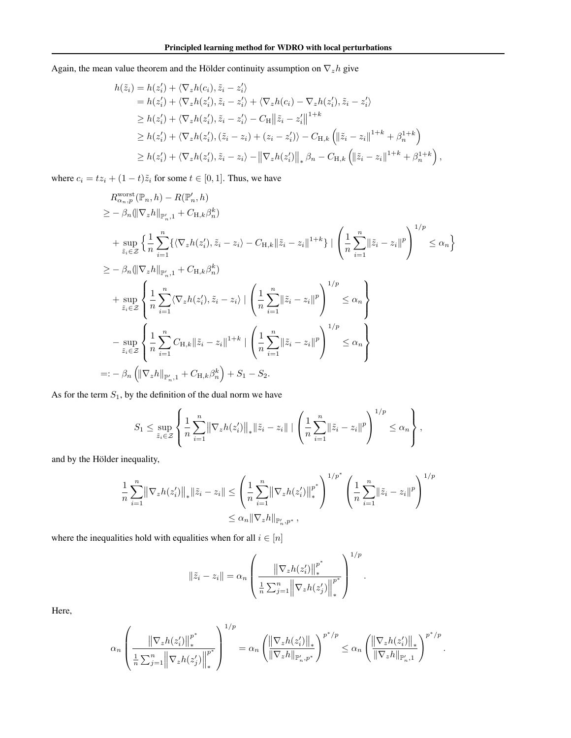Again, the mean value theorem and the Hölder continuity assumption on  $\nabla_z h$  give

$$
h(\tilde{z}_i) = h(z'_i) + \langle \nabla_z h(c_i), \tilde{z}_i - z'_i \rangle
$$
  
\n
$$
= h(z'_i) + \langle \nabla_z h(z'_i), \tilde{z}_i - z'_i \rangle + \langle \nabla_z h(c_i) - \nabla_z h(z'_i), \tilde{z}_i - z'_i \rangle
$$
  
\n
$$
\geq h(z'_i) + \langle \nabla_z h(z'_i), \tilde{z}_i - z'_i \rangle - C_H ||\tilde{z}_i - z'_i||^{1+k}
$$
  
\n
$$
\geq h(z'_i) + \langle \nabla_z h(z'_i), (\tilde{z}_i - z_i) + (z_i - z'_i) \rangle - C_{H,k} (||\tilde{z}_i - z_i||^{1+k} + \beta_n^{1+k})
$$
  
\n
$$
\geq h(z'_i) + \langle \nabla_z h(z'_i), \tilde{z}_i - z_i \rangle - ||\nabla_z h(z'_i)||_* \beta_n - C_{H,k} (||\tilde{z}_i - z_i||^{1+k} + \beta_n^{1+k}),
$$

where  $c_i = tz_i + (1 - t)\tilde{z}_i$  for some  $t \in [0, 1]$ . Thus, we have

$$
R_{\alpha_{n},p}^{\text{worst}}(\mathbb{P}_{n},h) - R(\mathbb{P}'_{n},h)
$$
  
\n
$$
\geq -\beta_{n}(\|\nabla_{z}h\|_{\mathbb{P}'_{n},1} + C_{\mathcal{H},k}\beta_{n}^{k})
$$
  
\n+ 
$$
\sup_{\tilde{z}_{i}\in\mathcal{Z}}\left\{\frac{1}{n}\sum_{i=1}^{n}\left\{\langle\nabla_{z}h(z'_{i}), \tilde{z}_{i}-z_{i}\rangle - C_{\mathcal{H},k}\|\tilde{z}_{i}-z_{i}\|^{1+k}\right\} | \left(\frac{1}{n}\sum_{i=1}^{n}\|\tilde{z}_{i}-z_{i}\|^{p}\right)^{1/p} \leq \alpha_{n}\right\}
$$
  
\n
$$
\geq -\beta_{n}(\|\nabla_{z}h\|_{\mathbb{P}'_{n},1} + C_{\mathcal{H},k}\beta_{n}^{k})
$$
  
\n+ 
$$
\sup_{\tilde{z}_{i}\in\mathcal{Z}}\left\{\frac{1}{n}\sum_{i=1}^{n}\langle\nabla_{z}h(z'_{i}), \tilde{z}_{i}-z_{i}\rangle | \left(\frac{1}{n}\sum_{i=1}^{n}\|\tilde{z}_{i}-z_{i}\|^{p}\right)^{1/p} \leq \alpha_{n}\right\}
$$
  
\n- 
$$
\sup_{\tilde{z}_{i}\in\mathcal{Z}}\left\{\frac{1}{n}\sum_{i=1}^{n}C_{\mathcal{H},k}\|\tilde{z}_{i}-z_{i}\|^{1+k} | \left(\frac{1}{n}\sum_{i=1}^{n}\|\tilde{z}_{i}-z_{i}\|^{p}\right)^{1/p} \leq \alpha_{n}\right\}
$$
  
\n=: 
$$
-\beta_{n}\left(\|\nabla_{z}h\|_{\mathbb{P}'_{n},1} + C_{\mathcal{H},k}\beta_{n}^{k}\right) + S_{1} - S_{2}.
$$

As for the term  $S_1$ , by the definition of the dual norm we have

$$
S_1 \leq \sup_{\tilde{z}_i \in \mathcal{Z}} \left\{ \frac{1}{n} \sum_{i=1}^n \left\| \nabla_z h(z'_i) \right\|_* \left\| \tilde{z}_i - z_i \right\| + \left( \frac{1}{n} \sum_{i=1}^n \left\| \tilde{z}_i - z_i \right\|^p \right)^{1/p} \leq \alpha_n \right\},\
$$

and by the Hölder inequality,

$$
\frac{1}{n} \sum_{i=1}^{n} \left\| \nabla_z h(z_i') \right\|_* \left\| \tilde{z}_i - z_i \right\| \le \left( \frac{1}{n} \sum_{i=1}^{n} \left\| \nabla_z h(z_i') \right\|_*^{p^*} \right)^{1/p^*} \left( \frac{1}{n} \sum_{i=1}^{n} \left\| \tilde{z}_i - z_i \right\|^p \right)^{1/p^*}
$$
  

$$
\le \alpha_n \left\| \nabla_z h \right\|_{\mathbb{P}'_{n}, p^*},
$$

where the inequalities hold with equalities when for all  $i \in [n]$ 

$$
\|\tilde{z}_i - z_i\| = \alpha_n \left( \frac{\left\|\nabla_z h(z'_i)\right\|_{*}^{p^*}}{\frac{1}{n} \sum_{j=1}^n \left\|\nabla_z h(z'_j)\right\|_{*}^{p^*}} \right)^{1/p}.
$$

Here,

$$
\alpha_n \left( \frac{\left\| \nabla_z h(z_i') \right\|_{*}^{p^*}}{\frac{1}{n} \sum_{j=1}^n \left\| \nabla_z h(z_j') \right\|_{*}^{p^*}} \right)^{1/p} = \alpha_n \left( \frac{\left\| \nabla_z h(z_i') \right\|_{*}}{\left\| \nabla_z h \right\|_{\mathbb{P}'_n, p^*}} \right)^{p^*/p} \le \alpha_n \left( \frac{\left\| \nabla_z h(z_i') \right\|_{*}}{\left\| \nabla_z h \right\|_{\mathbb{P}'_{n}, 1}} \right)^{p^*/p}
$$

.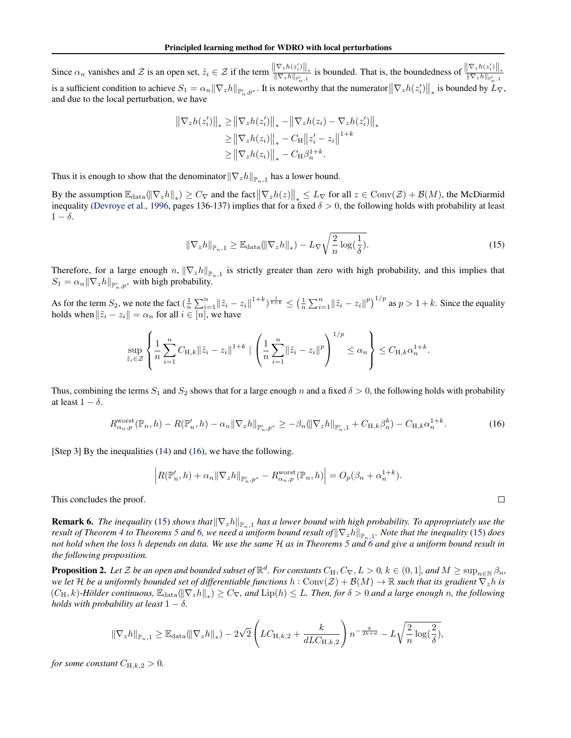<span id="page-14-0"></span>Since  $\alpha_n$  vanishes and Z is an open set,  $\tilde{z}_i \in \mathcal{Z}$  if the term  $\frac{\|\nabla_z h(z'_i)\|_*}{\|\nabla_z h\|_{\mathbb{P}'_{n,1}}}$  is bounded. That is, the boundedness of  $\frac{\|\nabla_z h(z'_i)\|_*}{\|\nabla_z h\|_{\mathbb{P}'_{n,1}}}$ is a sufficient condition to achieve  $S_1 = \alpha_n ||\nabla_z h||_{\mathbb{P}'_{n},p^*}$ . It is noteworthy that the numerator  $||\nabla_z h(z'_i)||_*$  is bounded by  $L_{\nabla}$ , and due to the local perturbation, we have

$$
\|\nabla_z h(z_i')\|_* \ge \|\nabla_z h(z_i')\|_* - \|\nabla_z h(z_i) - \nabla_z h(z_i')\|_*\n\ge \|\nabla_z h(z_i)\|_* - C_H \|z_i' - z_i\|^{1+k}\n\ge \|\nabla_z h(z_i)\|_* - C_H \beta_n^{1+k}.
$$

Thus it is enough to show that the denominator  $\|\nabla_z h\|_{\mathbb{P}_{n,1}}$  has a lower bound.

By the assumption  $\mathbb{E}_{\text{data}}(\|\nabla_z h\|_*) \geq C_{\nabla}$  and the fact  $\|\nabla_z h(z)\|_* \leq L_{\nabla}$  for all  $z \in \text{Conv}(\mathcal{Z}) + \mathcal{B}(M)$ , the McDiarmid inequality [\(Devroye et al.,](#page-8-0) [1996,](#page-8-0) pages 136-137) implies that for a fixed  $\delta > 0$ , the following holds with probability at least  $1 - \delta$ .

$$
\|\nabla_z h\|_{\mathbb{P}_n,1} \ge \mathbb{E}_{\text{data}}(\|\nabla_z h\|_*) - L_{\nabla} \sqrt{\frac{2}{n} \log(\frac{1}{\delta})}.
$$
\n(15)

 $\Box$ 

Therefore, for a large enough n,  $\|\nabla_z h\|_{\mathbb{P}_{n,1}}$  is strictly greater than zero with high probability, and this implies that  $S_1 = \alpha_n \|\nabla_z h\|_{\mathbb{P}'_n, p^*}$  with high probability.

As for the term  $S_2$ , we note the fact  $\left(\frac{1}{n}\sum_{i=1}^n ||\tilde{z}_i - z_i||^{1+k}\right)^{\frac{1}{1+k}} \leq \left(\frac{1}{n}\sum_{i=1}^n ||\tilde{z}_i - z_i||^p\right)^{1/p}$  as  $p > 1 + k$ . Since the equality holds when  $\|\tilde{z}_i - z_i\| = \alpha_n$  for all  $i \in [n]$ , we have

$$
\sup_{\tilde{z}_i \in \mathcal{Z}} \left\{ \frac{1}{n} \sum_{i=1}^n C_{H,k} ||\tilde{z}_i - z_i||^{1+k} \mid \left( \frac{1}{n} \sum_{i=1}^n ||\tilde{z}_i - z_i||^p \right)^{1/p} \le \alpha_n \right\} \le C_{H,k} \alpha_n^{1+k}.
$$

Thus, combining the terms  $S_1$  and  $S_2$  shows that for a large enough n and a fixed  $\delta > 0$ , the following holds with probability at least  $1 - \delta$ .

$$
R_{\alpha_n, p}^{\text{worst}}(\mathbb{P}_n, h) - R(\mathbb{P}'_n, h) - \alpha_n \|\nabla_z h\|_{\mathbb{P}'_n, p^*} \ge -\beta_n (\|\nabla_z h\|_{\mathbb{P}'_n, 1} + C_{\mathcal{H}, k} \beta_n^k) - C_{\mathcal{H}, k} \alpha_n^{1+k}.
$$
 (16)

[Step 3] By the inequalities [\(14\)](#page-12-0) and (16), we have the following.

$$
\left| R(\mathbb{P}'_n, h) + \alpha_n \|\nabla_z h\|_{\mathbb{P}'_n, p^*} - R_{\alpha_n, p}^{\text{worst}}(\mathbb{P}_n, h) \right| = O_p(\beta_n + \alpha_n^{1+k}).
$$

This concludes the proof.

**Remark 6.** The inequality (15) shows that $\|\nabla_z h\|_{\mathbb{P}_n,1}$  has a lower bound with high probability. To appropriately use the *result of Theorem [4](#page-5-0) to Theorems [5](#page-5-0) and [6,](#page-5-0) we need a uniform bound result of*  $\|\nabla_z h\|_{\mathbb{P}_n,1}$ . Note that the inequality (15) does *not hold when the loss* h *depends on data. We use the same* H *as in Theorems [5](#page-5-0) and [6](#page-5-0) and give a uniform bound result in the following proposition.*

**Proposition 2.** Let  $\mathcal Z$  be an open and bounded subset of  $\mathbb R^d$ . For constants  $C_H, C_\nabla, L > 0$ ,  $k \in (0,1]$ , and  $M \geq \sup_{n \in \mathbb N} \beta_n$ , *we let* H *be a uniformly bounded set of differentiable functions*  $h: Conv(Z) + B(M) \to \mathbb{R}$  *such that its gradient*  $\nabla_z h$  *is*  $(C_H, k)$ -Hölder continuous,  $\mathbb{E}_{\text{data}}(\|\nabla_z h\|_*) \geq C_{\nabla}$ , and  $\text{Lip}(h) \leq L$ . Then, for  $\delta > 0$  and a large enough n, the following *holds with probability at least*  $1 - \delta$ .

$$
\|\nabla_z h\|_{\mathbb{P}_{n},1} \geq \mathbb{E}_{\text{data}}(\|\nabla_z h\|_*) - 2\sqrt{2}\left(LC_{H,k,2} + \frac{k}{dLC_{H,k,2}}\right)n^{-\frac{k}{2k+d}} - L\sqrt{\frac{2}{n}\log(\frac{2}{\delta})},
$$

*for some constant*  $C_{H,k,2} > 0$ *.*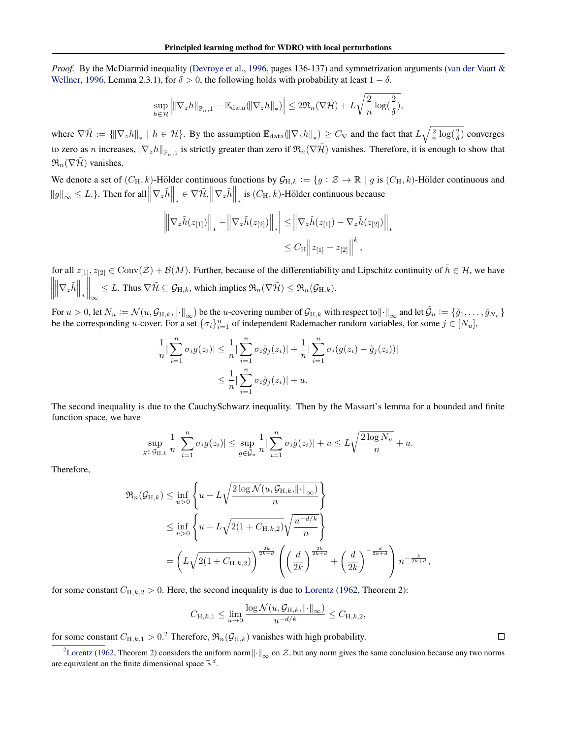*Proof.* By the McDiarmid inequality [\(Devroye et al.,](#page-8-0) [1996,](#page-8-0) pages 136-137) and symmetrization arguments [\(van der Vaart &](#page-9-0) [Wellner,](#page-9-0) [1996,](#page-9-0) Lemma 2.3.1), for  $\delta > 0$ , the following holds with probability at least  $1 - \delta$ .

$$
\sup_{h\in\mathcal{H}}\left\|\nabla_z h\right\|_{\mathbb{P}_{n},1}-\mathbb{E}_{\text{data}}(\left\|\nabla_z h\right\|_*)\right|\leq 2\mathfrak{R}_n(\nabla\tilde{\mathcal{H}})+L\sqrt{\frac{2}{n}\log(\frac{2}{\delta})},
$$

where  $\nabla \tilde{\mathcal{H}} := \left\{ \left\| \nabla_z h \right\|_* \mid h \in \mathcal{H} \right\}$ . By the assumption  $\mathbb{E}_{\text{data}}(\left\| \nabla_z h \right\|_*) \geq C_{\nabla}$  and the fact that  $L \sqrt{\frac{2}{n} \log(\frac{2}{\delta})}$  converges to zero as n increases,  $\|\nabla_z h\|_{\mathbb{P}_{n,1}}$  is strictly greater than zero if  $\mathfrak{R}_n(\nabla \tilde{\mathcal{H}})$  vanishes. Therefore, it is enough to show that  $\mathfrak{R}_n(\nabla \mathcal{H})$  vanishes.

We denote a set of  $(C_H, k)$ -Hölder continuous functions by  $\mathcal{G}_{H,k} := \{g : \mathcal{Z} \to \mathbb{R} \mid g \text{ is } (C_H, k)$ -Hölder continuous and  $||g||_{\infty} \le L$ .}. Then for all  $||\nabla_z \tilde{h}||_* \in \nabla \tilde{\mathcal{H}}, ||\nabla_z \tilde{h}||_*$  is  $(C_H, k)$ -Hölder continuous because

$$
\left\| \nabla_z \tilde{h}(z_{[1]}) \right\|_* - \left\| \nabla_z \tilde{h}(z_{[2]}) \right\|_* \leq \left\| \nabla_z \tilde{h}(z_{[1]}) - \nabla_z \tilde{h}(z_{[2]}) \right\|_*
$$
  

$$
\leq C_H \left\| z_{[1]} - z_{[2]} \right\|^k,
$$

for all  $z_{[1]}, z_{[2]} \in Conv(\mathcal{Z}) + \mathcal{B}(M)$ . Further, because of the differentiability and Lipschitz continuity of  $\tilde{h} \in \mathcal{H}$ , we have  $\left\| \nabla_z \tilde{h} \right\|_*$  $\Big\|_\infty$  $\leq L$ . Thus  $\nabla \tilde{\mathcal{H}} \subseteq \mathcal{G}_{H,k}$ , which implies  $\mathfrak{R}_n(\nabla \tilde{\mathcal{H}}) \leq \mathfrak{R}_n(\mathcal{G}_{H,k}).$ 

For  $u > 0$ , let  $N_u := \mathcal{N}(u, \mathcal{G}_{H,k}, ||\cdot||_{\infty})$  be the *u*-covering number of  $\mathcal{G}_{H,k}$  with respect to  $||\cdot||_{\infty}$  and let  $\tilde{\mathcal{G}}_u := \{\tilde{g}_1, \ldots, \tilde{g}_{N_u}\}$ be the corresponding u-cover. For a set  $\{\sigma_i\}_{i=1}^n$  of independent Rademacher random variables, for some  $j \in [N_u]$ ,

$$
\frac{1}{n} \left| \sum_{i=1}^{n} \sigma_i g(z_i) \right| \leq \frac{1}{n} \left| \sum_{i=1}^{n} \sigma_i \tilde{g}_j(z_i) \right| + \frac{1}{n} \left| \sum_{i=1}^{n} \sigma_i (g(z_i) - \tilde{g}_j(z_i)) \right|
$$
  

$$
\leq \frac{1}{n} \left| \sum_{i=1}^{n} \sigma_i \tilde{g}_j(z_i) \right| + u.
$$

The second inequality is due to the CauchySchwarz inequality. Then by the Massart's lemma for a bounded and finite function space, we have

$$
\sup_{g \in \mathcal{G}_{H,k}} \frac{1}{n} \big| \sum_{i=1}^n \sigma_i g(z_i) \big| \leq \sup_{\tilde{g} \in \tilde{\mathcal{G}}_u} \frac{1}{n} \big| \sum_{i=1}^n \sigma_i \tilde{g}(z_i) \big| + u \leq L \sqrt{\frac{2 \log N_u}{n}} + u.
$$

Therefore,

$$
\mathfrak{R}_{n}(\mathcal{G}_{H,k}) \leq \inf_{u>0} \left\{ u + L\sqrt{\frac{2\log \mathcal{N}(u, \mathcal{G}_{H,k}, ||\cdot||_{\infty})}{n}} \right\}
$$
\n
$$
\leq \inf_{u>0} \left\{ u + L\sqrt{2(1 + C_{H,k,2})} \sqrt{\frac{u^{-d/k}}{n}} \right\}
$$
\n
$$
= \left( L\sqrt{2(1 + C_{H,k,2})} \right)^{\frac{2k}{2k+d}} \left( \left( \frac{d}{2k} \right)^{\frac{2k}{2k+d}} + \left( \frac{d}{2k} \right)^{-\frac{d}{2k+d}} \right) n^{-\frac{k}{2k+d}},
$$

for some constant  $C_{H,k,2} > 0$ . Here, the second inequality is due to [Lorentz](#page-9-0) [\(1962,](#page-9-0) Theorem 2):

$$
C_{\mathrm{H},k,1} \leq \lim_{u \to 0} \frac{\log \mathcal{N}(u, \mathcal{G}_{\mathrm{H},k}, ||\cdot||_{\infty})}{u^{-d/k}} \leq C_{\mathrm{H},k,2},
$$

for some constant  $C_{H,k,1} > 0$ .<sup>2</sup> Therefore,  $\mathfrak{R}_n(\mathcal{G}_{H,k})$  vanishes with high probability.

 $\Box$ 

<sup>&</sup>lt;sup>2</sup>[Lorentz](#page-9-0) [\(1962,](#page-9-0) Theorem 2) considers the uniform norm $\|\cdot\|_{\infty}$  on  $\mathcal{Z}$ , but any norm gives the same conclusion because any two norms are equivalent on the finite dimensional space  $\mathbb{R}^d$ .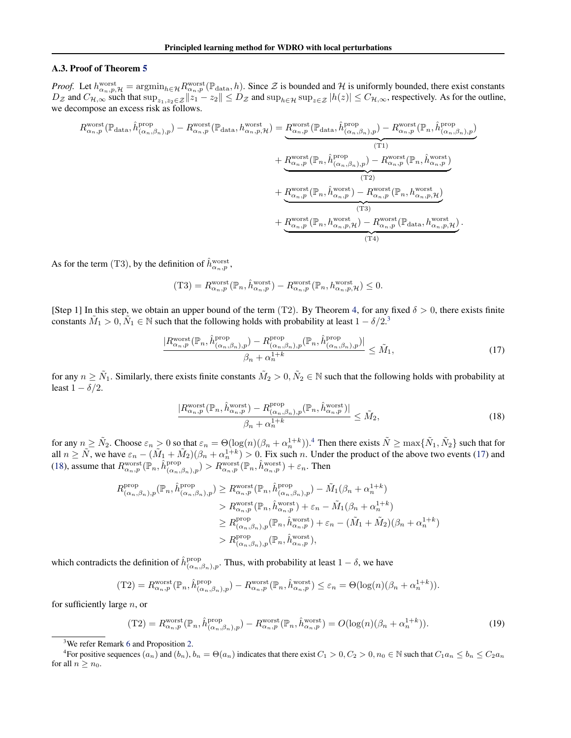#### <span id="page-16-0"></span>A.3. Proof of Theorem [5](#page-5-0)

*Proof.* Let  $h_{\alpha_n,p,\mathcal{H}}^{\text{worst}} = \operatorname{argmin}_{h \in \mathcal{H}} R_{\alpha_n,p}^{\text{worst}}(\mathbb{P}_{\text{data}}, h)$ . Since  $\mathcal{Z}$  is bounded and  $\mathcal{H}$  is uniformly bounded, there exist constants  $D_z$  and  $C_{\mathcal{H},\infty}$  such that  $\sup_{z_1,z_2\in\mathcal{Z}}||z_1-z_2||\leq D_z$  and  $\sup_{h\in\mathcal{H}}\sup_{z\in\mathcal{Z}}|h(z)|\leq C_{\mathcal{H},\infty}$ , respectively. As for the outline, we decompose an excess risk as follows.

$$
R_{\alpha_n,p}^{\text{worst}}(\mathbb{P}_{\text{data}},\hat{h}_{(\alpha_n,\beta_n),p}^{\text{prop}}) - R_{\alpha_n,p}^{\text{worst}}(\mathbb{P}_{\text{data}},h_{\alpha_n,p}^{\text{worst}}) = \underbrace{R_{\alpha_n,p}^{\text{worst}}(\mathbb{P}_{\text{data}},\hat{h}_{(\alpha_n,\beta_n),p}^{\text{prop}}) - R_{\alpha_n,p}^{\text{worst}}(\mathbb{P}_n,\hat{h}_{(\alpha_n,\beta_n),p}^{\text{prop}})}_{\text{(T1)}} + \underbrace{R_{\alpha_n,p}^{\text{worst}}(\mathbb{P}_n,\hat{h}_{(\alpha_n,\beta_n),p}^{\text{prop}}) - R_{\alpha_n,p}^{\text{worst}}(\mathbb{P}_n,\hat{h}_{\alpha_n,p}^{\text{worst}})}_{\text{(T2)}} + \underbrace{R_{\alpha_n,p}^{\text{worst}}(\mathbb{P}_n,\hat{h}_{\alpha_n,p}^{\text{worst}}) - R_{\alpha_n,p}^{\text{worst}}(\mathbb{P}_n,h_{\alpha_n,p}^{\text{worst}})}_{\text{(T3)}} + \underbrace{R_{\alpha_n,p}^{\text{worst}}(\mathbb{P}_n,h_{\alpha_n,p}^{\text{worst}})\ - R_{\alpha_n,p}^{\text{worst}}(\mathbb{P}_{\text{data}},h_{\alpha_n,p}^{\text{worst}})}_{\text{(T4)}}.
$$

As for the term (T3), by the definition of  $\hat{h}^{\text{worst}}_{\alpha_n,p}$ ,

$$
(\text{T3}) = R_{\alpha_n, p}^{\text{worst}}(\mathbb{P}_n, \hat{h}_{\alpha_n, p}^{\text{worst}}) - R_{\alpha_n, p}^{\text{worst}}(\mathbb{P}_n, h_{\alpha_n, p, \mathcal{H}}^{\text{worst}}) \leq 0.
$$

[Step 1] In this step, we obtain an upper bound of the term (T2). By Theorem [4,](#page-5-0) for any fixed  $\delta > 0$ , there exists finite constants  $\tilde{M}_1 > 0$ ,  $\tilde{N}_1 \in \mathbb{N}$  such that the following holds with probability at least  $1 - \delta/2$ .<sup>3</sup>

$$
\frac{|R_{\alpha_n,p}^{\text{worst}}(\mathbb{P}_n, \hat{h}_{(\alpha_n,\beta_n),p}^{\text{prop}}) - R_{(\alpha_n,\beta_n),p}^{\text{prop}}(\mathbb{P}_n, \hat{h}_{(\alpha_n,\beta_n),p}^{\text{prop}})|}{\beta_n + \alpha_n^{1+k}} \leq \tilde{M}_1,\tag{17}
$$

for any  $n \ge \tilde{N}_1$ . Similarly, there exists finite constants  $\tilde{M}_2 > 0$ ,  $\tilde{N}_2 \in \mathbb{N}$  such that the following holds with probability at least  $1 - \delta/2$ .

$$
\frac{|R_{\alpha_n,p}^{\text{worst}}(\mathbb{P}_n, \hat{h}_{\alpha_n,p}^{\text{worst}}) - R_{(\alpha_n,\beta_n),p}^{\text{prop}}(\mathbb{P}_n, \hat{h}_{\alpha_n,p}^{\text{worst}})|}{\beta_n + \alpha_n^{1+k}} \leq \tilde{M}_2,
$$
\n(18)

for any  $n \ge \tilde{N}_2$ . Choose  $\varepsilon_n > 0$  so that  $\varepsilon_n = \Theta(\log(n)(\beta_n + \alpha_n^{1+k}))$ .<sup>4</sup> Then there exists  $\tilde{N} \ge \max\{\tilde{N}_1, \tilde{N}_2\}$  such that for all  $n \geq \tilde{N}$ , we have  $\varepsilon_n - (\tilde{M}_1 + \tilde{M}_2)(\beta_n + \alpha_n^{1+k}) > 0$ . Fix such *n*. Under the product of the above two events (17) and (18), assume that  $R_{\alpha_n,p}^{\text{worst}}(\mathbb{P}_n, \hat{h}_{(\alpha_n,\beta_n),p}^{\text{prop}}) > R_{\alpha_n,p}^{\text{worst}}(\mathbb{P}_n, \hat{h}_{\alpha_n,p}^{\text{worst}}) + \varepsilon_n$ . Then

$$
R_{(\alpha_n,\beta_n),p}^{\text{prop}}(\mathbb{P}_n, \hat{h}_{(\alpha_n,\beta_n),p}^{\text{prop}}) \geq R_{\alpha_n,p}^{\text{worst}}(\mathbb{P}_n, \hat{h}_{(\alpha_n,\beta_n),p}^{\text{prop}}) - \tilde{M}_1(\beta_n + \alpha_n^{1+k})
$$
  
>  $R_{\alpha_n,p}^{\text{worst}}(\mathbb{P}_n, \hat{h}_{\alpha_n,p}^{\text{worst}}) + \varepsilon_n - \tilde{M}_1(\beta_n + \alpha_n^{1+k})$   
>  $R_{(\alpha_n,\beta_n),p}^{\text{prop}}(\mathbb{P}_n, \hat{h}_{\alpha_n,p}^{\text{worst}}) + \varepsilon_n - (\tilde{M}_1 + \tilde{M}_2)(\beta_n + \alpha_n^{1+k})$   
>  $R_{(\alpha_n,\beta_n),p}^{\text{prop}}(\mathbb{P}_n, \hat{h}_{\alpha_n,p}^{\text{worst}}),$ 

which contradicts the definition of  $\hat{h}^{\text{prop}}_{(\alpha_n,\beta_n),p}$ . Thus, with probability at least  $1-\delta$ , we have

$$
(T2) = R_{\alpha_n, p}^{\text{worst}}(\mathbb{P}_n, \hat{h}_{(\alpha_n, \beta_n), p}^{\text{prop}}) - R_{\alpha_n, p}^{\text{worst}}(\mathbb{P}_n, \hat{h}_{\alpha_n, p}^{\text{worst}}) \le \varepsilon_n = \Theta(\log(n)(\beta_n + \alpha_n^{1+k})).
$$

for sufficiently large  $n$ , or

$$
(T2) = R_{\alpha_n, p}^{\text{worst}}(\mathbb{P}_n, \hat{h}_{(\alpha_n, \beta_n), p}^{\text{prop}}) - R_{\alpha_n, p}^{\text{worst}}(\mathbb{P}_n, \hat{h}_{\alpha_n, p}^{\text{worst}}) = O(\log(n)(\beta_n + \alpha_n^{1+k})).
$$
\n(19)

<sup>&</sup>lt;sup>3</sup>We refer Remark [6](#page-14-0) and Proposition [2.](#page-14-0)

<sup>&</sup>lt;sup>4</sup> For positive sequences  $(a_n)$  and  $(b_n)$ ,  $b_n = \Theta(a_n)$  indicates that there exist  $C_1 > 0$ ,  $C_2 > 0$ ,  $n_0 \in \mathbb{N}$  such that  $C_1 a_n \leq b_n \leq C_2 a_n$ for all  $n \geq n_0$ .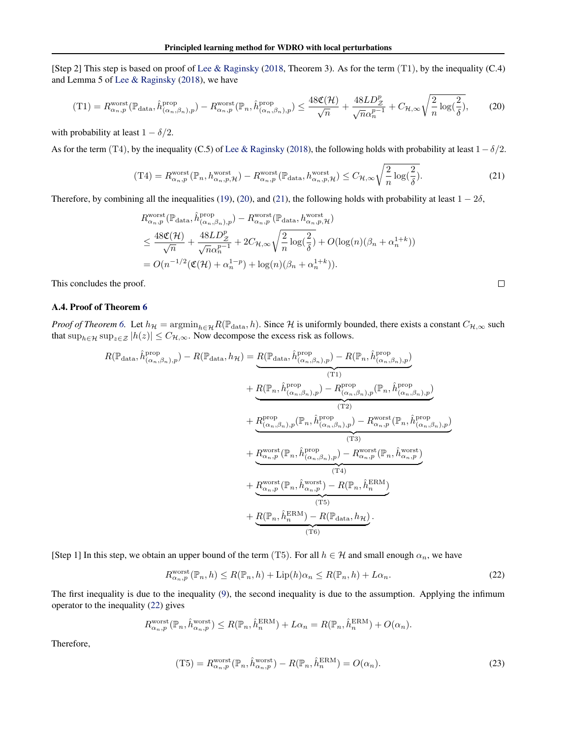<span id="page-17-0"></span>[Step 2] This step is based on proof of [Lee & Raginsky](#page-9-0) [\(2018,](#page-9-0) Theorem 3). As for the term (T1), by the inequality (C.4) and Lemma 5 of [Lee & Raginsky](#page-9-0) [\(2018\)](#page-9-0), we have

$$
(\text{T1}) = R_{\alpha_n, p}^{\text{worst}}(\mathbb{P}_{\text{data}}, \hat{h}_{(\alpha_n, \beta_n), p}^{\text{prop}}) - R_{\alpha_n, p}^{\text{worst}}(\mathbb{P}_n, \hat{h}_{(\alpha_n, \beta_n), p}^{\text{prop}}) \le \frac{48\mathfrak{C}(\mathcal{H})}{\sqrt{n}} + \frac{48LD_{\mathcal{Z}}^p}{\sqrt{n}\alpha_n^{p-1}} + C_{\mathcal{H}, \infty} \sqrt{\frac{2}{n} \log(\frac{2}{\delta})},\tag{20}
$$

with probability at least  $1 - \delta/2$ .

As for the term (T4), by the inequality (C.5) of [Lee & Raginsky](#page-9-0) [\(2018\)](#page-9-0), the following holds with probability at least  $1-\delta/2$ .

$$
(\text{T4}) = R_{\alpha_n, p}^{\text{worst}}(\mathbb{P}_n, h_{\alpha_n, p, \mathcal{H}}^{\text{worst}}) - R_{\alpha_n, p}^{\text{worst}}(\mathbb{P}_{\text{data}}, h_{\alpha_n, p, \mathcal{H}}^{\text{worst}}) \le C_{\mathcal{H}, \infty} \sqrt{\frac{2}{n} \log(\frac{2}{\delta})}. \tag{21}
$$

Therefore, by combining all the inequalities [\(19\)](#page-16-0), (20), and (21), the following holds with probability at least  $1 - 2\delta$ ,

$$
R_{\alpha_n, p}^{\text{worst}}(\mathbb{P}_{\text{data}}, \hat{h}_{(\alpha_n, \beta_n), p}^{\text{prop}}) - R_{\alpha_n, p}^{\text{worst}}(\mathbb{P}_{\text{data}}, h_{\alpha_n, p, \mathcal{H}}^{\text{worst}})
$$
  

$$
\leq \frac{48\mathfrak{C}(\mathcal{H})}{\sqrt{n}} + \frac{48LD_Z^p}{\sqrt{n}\alpha_n^{p-1}} + 2C_{\mathcal{H}, \infty} \sqrt{\frac{2}{n} \log(\frac{2}{\delta})} + O(\log(n)(\beta_n + \alpha_n^{1+k}))
$$
  

$$
= O(n^{-1/2}(\mathfrak{C}(\mathcal{H}) + \alpha_n^{1-p}) + \log(n)(\beta_n + \alpha_n^{1+k})).
$$

 $\Box$ 

This concludes the proof.

# A.4. Proof of Theorem [6](#page-5-0)

*Proof of Theorem* [6.](#page-5-0) Let  $h_{\mathcal{H}} = \operatorname{argmin}_{h \in \mathcal{H}} R(\mathbb{P}_{data}, h)$ . Since  $\mathcal{H}$  is uniformly bounded, there exists a constant  $C_{\mathcal{H}, \infty}$  such that  $\sup_{h \in \mathcal{H}} \sup_{z \in \mathcal{Z}} |h(z)| \leq C_{\mathcal{H},\infty}$ . Now decompose the excess risk as follows.

$$
R(\mathbb{P}_{data}, \hat{h}_{(\alpha_n, \beta_n),p}^{\text{prop}}) - R(\mathbb{P}_{data}, h_{\mathcal{H}}) = \underbrace{R(\mathbb{P}_{data}, \hat{h}_{(\alpha_n, \beta_n),p}^{\text{prop}}) - R(\mathbb{P}_n, \hat{h}_{(\alpha_n, \beta_n),p}^{\text{prop}})}_{(T1)} \n+ \underbrace{R(\mathbb{P}_n, \hat{h}_{(\alpha_n, \beta_n),p}^{\text{prop}}) - R_{(\alpha_n, \beta_n),p}^{\text{prop}}(\mathbb{P}_n, \hat{h}_{(\alpha_n, \beta_n),p}^{\text{prop}})}_{(T2)} \n+ \underbrace{R_{(\alpha_n, \beta_n),p}^{\text{prop}}(\mathbb{P}_n, \hat{h}_{(\alpha_n, \beta_n),p}^{\text{prop}}) - R_{\alpha_n, p}^{\text{worst}}(\mathbb{P}_n, \hat{h}_{(\alpha_n, \beta_n),p}^{\text{prop}})}_{(T3)} \n+ \underbrace{R_{\alpha_n, p}^{\text{worst}}(\mathbb{P}_n, \hat{h}_{(\alpha_n, \beta_n),p}^{\text{prop}}) - R_{\alpha_n, p}^{\text{worst}}(\mathbb{P}_n, \hat{h}_{\alpha_n, p}^{\text{worst}})}_{(T4)} \n+ \underbrace{R_{\alpha_n, p}^{\text{worst}}(\mathbb{P}_n, \hat{h}_{\alpha_n, p}^{\text{worst}}) - R(\mathbb{P}_n, \hat{h}_{n}^{\text{ERM}})}_{(T5)} \n+ \underbrace{R(\mathbb{P}_n, \hat{h}_{\alpha_n}^{\text{ERM}}) - R(\mathbb{P}_{data}, h_{\mathcal{H}})}_{(T6)}.
$$

[Step 1] In this step, we obtain an upper bound of the term (T5). For all  $h \in \mathcal{H}$  and small enough  $\alpha_n$ , we have

$$
R_{\alpha_n, p}^{\text{worst}}(\mathbb{P}_n, h) \le R(\mathbb{P}_n, h) + \text{Lip}(h)\alpha_n \le R(\mathbb{P}_n, h) + L\alpha_n. \tag{22}
$$

The first inequality is due to the inequality [\(9\)](#page-10-0), the second inequality is due to the assumption. Applying the infimum operator to the inequality (22) gives

$$
R_{\alpha_n,p}^{\text{worst}}(\mathbb{P}_n, \hat{h}_{\alpha_n,p}^{\text{worst}}) \leq R(\mathbb{P}_n, \hat{h}_n^{\text{ERM}}) + L\alpha_n = R(\mathbb{P}_n, \hat{h}_n^{\text{ERM}}) + O(\alpha_n).
$$

Therefore,

$$
(T5) = R_{\alpha_n, p}^{\text{worst}}(\mathbb{P}_n, \hat{h}_{\alpha_n, p}^{\text{worst}}) - R(\mathbb{P}_n, \hat{h}_n^{\text{ERM}}) = O(\alpha_n).
$$
 (23)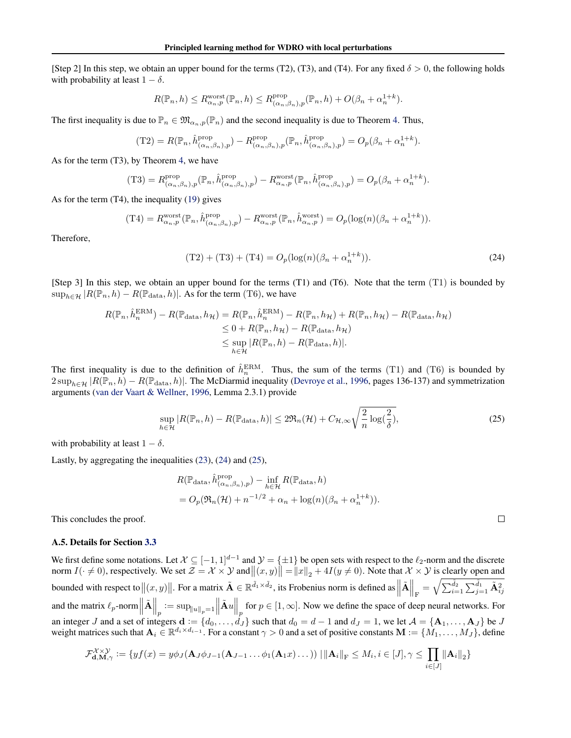[Step 2] In this step, we obtain an upper bound for the terms (T2), (T3), and (T4). For any fixed  $\delta > 0$ , the following holds with probability at least  $1 - \delta$ .

$$
R(\mathbb{P}_n, h) \le R_{\alpha_n, p}^{\text{worst}}(\mathbb{P}_n, h) \le R_{(\alpha_n, \beta_n), p}^{\text{prop}}(\mathbb{P}_n, h) + O(\beta_n + \alpha_n^{1+k}).
$$

The first inequality is due to  $\mathbb{P}_n \in \mathfrak{M}_{\alpha_n,p}(\mathbb{P}_n)$  and the second inequality is due to Theorem [4.](#page-5-0) Thus,

$$
(\text{T2}) = R(\mathbb{P}_n, \hat{h}_{(\alpha_n, \beta_n), p}^{\text{prop}}) - R_{(\alpha_n, \beta_n), p}^{\text{prop}}(\mathbb{P}_n, \hat{h}_{(\alpha_n, \beta_n), p}^{\text{prop}}) = O_p(\beta_n + \alpha_n^{1+k}).
$$

As for the term (T3), by Theorem [4,](#page-5-0) we have

$$
(T3) = R^{\text{prop}}_{(\alpha_n, \beta_n), p}(\mathbb{P}_n, \hat{h}^{\text{prop}}_{(\alpha_n, \beta_n), p}) - R^{\text{worst}}_{\alpha_n, p}(\mathbb{P}_n, \hat{h}^{\text{prop}}_{(\alpha_n, \beta_n), p}) = O_p(\beta_n + \alpha_n^{1+k}).
$$

As for the term (T4), the inequality [\(19\)](#page-16-0) gives

$$
(\text{T4}) = R_{\alpha_n, p}^{\text{worst}}(\mathbb{P}_n, \hat{h}_{(\alpha_n, \beta_n), p}^{\text{prop}}) - R_{\alpha_n, p}^{\text{worst}}(\mathbb{P}_n, \hat{h}_{\alpha_n, p}^{\text{worst}}) = O_p(\log(n)(\beta_n + \alpha_n^{1+k})).
$$

Therefore,

$$
(T2) + (T3) + (T4) = O_p(\log(n)(\beta_n + \alpha_n^{1+k})).
$$
\n(24)

[Step 3] In this step, we obtain an upper bound for the terms (T1) and (T6). Note that the term (T1) is bounded by  $\sup_{h \in \mathcal{H}} |R(\mathbb{P}_n, h) - R(\mathbb{P}_{data}, h)|$ . As for the term (T6), we have

$$
R(\mathbb{P}_n, \hat{h}_n^{\text{ERM}}) - R(\mathbb{P}_{\text{data}}, h_{\mathcal{H}}) = R(\mathbb{P}_n, \hat{h}_n^{\text{ERM}}) - R(\mathbb{P}_n, h_{\mathcal{H}}) + R(\mathbb{P}_n, h_{\mathcal{H}}) - R(\mathbb{P}_{\text{data}}, h_{\mathcal{H}})
$$
  
\n
$$
\leq 0 + R(\mathbb{P}_n, h_{\mathcal{H}}) - R(\mathbb{P}_{\text{data}}, h_{\mathcal{H}})
$$
  
\n
$$
\leq \sup_{h \in \mathcal{H}} |R(\mathbb{P}_n, h) - R(\mathbb{P}_{\text{data}}, h)|.
$$

The first inequality is due to the definition of  $\hat{h}_n^{\text{ERM}}$ . Thus, the sum of the terms (T1) and (T6) is bounded by  $2 \sup_{h \in \mathcal{H}} |R(\mathbb{P}_n, h) - R(\mathbb{P}_{data}, h)|$ . The McDiarmid inequality [\(Devroye et al.,](#page-8-0) [1996,](#page-8-0) pages 136-137) and symmetrization arguments [\(van der Vaart & Wellner,](#page-9-0) [1996,](#page-9-0) Lemma 2.3.1) provide

$$
\sup_{h \in \mathcal{H}} |R(\mathbb{P}_n, h) - R(\mathbb{P}_{\text{data}}, h)| \le 2\Re_n(\mathcal{H}) + C_{\mathcal{H}, \infty} \sqrt{\frac{2}{n} \log(\frac{2}{\delta})},\tag{25}
$$

with probability at least  $1 - \delta$ .

Lastly, by aggregating the inequalities [\(23\)](#page-17-0), (24) and (25),

$$
R(\mathbb{P}_{\text{data}}, \hat{h}_{(\alpha_n, \beta_n), p}^{\text{prop}}) - \inf_{h \in \mathcal{H}} R(\mathbb{P}_{\text{data}}, h)
$$
  
=  $O_p(\mathfrak{R}_n(\mathcal{H}) + n^{-1/2} + \alpha_n + \log(n)(\beta_n + \alpha_n^{1+k})).$ 

This concludes the proof.

#### A.5. Details for Section [3.3](#page-4-0)

We first define some notations. Let  $\mathcal{X} \subseteq [-1,1]^{d-1}$  and  $\mathcal{Y} = \{\pm 1\}$  be open sets with respect to the  $\ell_2$ -norm and the discrete norm  $I(\cdot \neq 0)$ , respectively. We set  $\mathcal{Z} = \mathcal{X} \times \mathcal{Y}$  and  $||(x, y)|| = ||x||_2 + 4I(y \neq 0)$ . Note that  $\mathcal{X} \times \mathcal{Y}$  is clearly open and bounded with respect to  $||(x, y)||$ . For a matrix  $\tilde{A} \in \mathbb{R}^{\tilde{d}_1 \times \tilde{d}_2}$ , its Frobenius norm is defined as  $||\tilde{A}||_F = \sqrt{\sum_{i=1}^{\tilde{d}_2} \sum_{j=1}^{\tilde{d}_1} \tilde{A}_{ij}^2}$ and the matrix  $\ell_p$ -norm  $\|\tilde{A}\|_p := \sup_{\|u\|_p=1} \|\tilde{A}u\|_p$  for  $p \in [1,\infty]$ . Now we define the space of deep neural networks. For an integer J and a set of integers  $\mathbf{d} := \{d_0, \ldots, d_J\}$  such that  $d_0 = d - 1$  and  $d_J = 1$ , we let  $\mathcal{A} = \{\mathbf{A}_1, \ldots, \mathbf{A}_J\}$  be J weight matrices such that  $A_i \in \mathbb{R}^{d_i \times d_{i-1}}$ . For a constant  $\gamma > 0$  and a set of positive constants  $M := \{M_1, \ldots, M_J\}$ , define

$$
\mathcal{F}_{\mathbf{d},\mathbf{M},\gamma}^{\mathcal{X}\times\mathcal{Y}} := \{ yf(x) = y\phi_J(\mathbf{A}_J\phi_{J-1}(\mathbf{A}_{J-1}\dots\phi_1(\mathbf{A}_1x)\dots)) \mid \|\mathbf{A}_i\|_{\mathrm{F}} \leq M_i, i \in [J], \gamma \leq \prod_{i\in [J]} \|\mathbf{A}_i\|_2 \}
$$

 $\Box$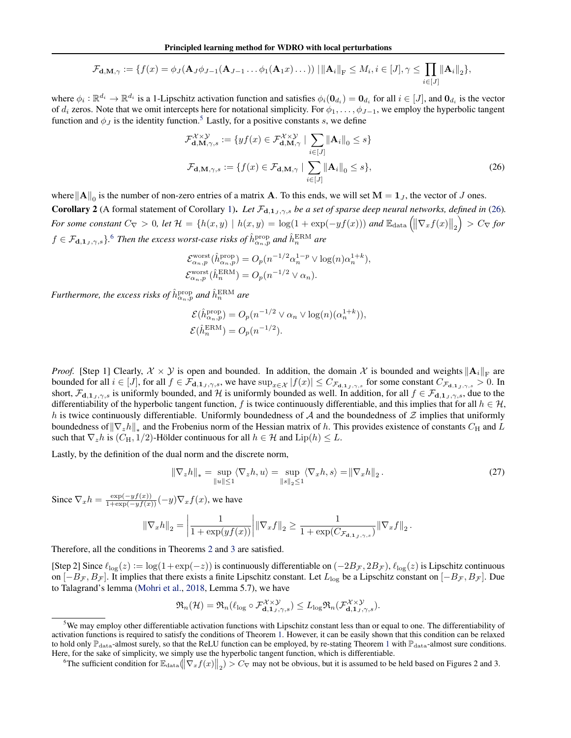$$
\mathcal{F}_{\mathbf{d},\mathbf{M},\gamma} := \{f(x) = \phi_J(\mathbf{A}_J\phi_{J-1}(\mathbf{A}_{J-1}\dots\phi_1(\mathbf{A}_1x)\dots)) \mid \|\mathbf{A}_i\|_{\mathrm{F}} \leq M_i, i \in [J], \gamma \leq \prod_{i\in [J]} \|\mathbf{A}_i\|_2\},\
$$

<span id="page-19-0"></span>where  $\phi_i : \mathbb{R}^{d_i} \to \mathbb{R}^{d_i}$  is a 1-Lipschitz activation function and satisfies  $\phi_i(\mathbf{0}_{d_i}) = \mathbf{0}_{d_i}$  for all  $i \in [J]$ , and  $\mathbf{0}_{d_i}$  is the vector of  $d_i$  zeros. Note that we omit intercepts here for notational simplicity. For  $\phi_1, \ldots, \phi_{J-1}$ , we employ the hyperbolic tangent function and  $\phi_I$  is the identity function.<sup>5</sup> Lastly, for a positive constants s, we define

$$
\mathcal{F}_{\mathbf{d},\mathbf{M},\gamma,s}^{\chi\times\mathcal{Y}} := \{ yf(x) \in \mathcal{F}_{\mathbf{d},\mathbf{M},\gamma}^{\chi\times\mathcal{Y}} \mid \sum_{i\in[J]} \|\mathbf{A}_i\|_0 \le s \}
$$
  

$$
\mathcal{F}_{\mathbf{d},\mathbf{M},\gamma,s} := \{ f(x) \in \mathcal{F}_{\mathbf{d},\mathbf{M},\gamma} \mid \sum_{i\in[J]} \|\mathbf{A}_i\|_0 \le s \},
$$
 (26)

where  $\|\mathbf{A}\|_0$  is the number of non-zero entries of a matrix **A**. To this ends, we will set  $\mathbf{M} = \mathbf{1}_J$ , the vector of J ones. Corollary 2 (A formal statement of Corollary [1\)](#page-4-0). Let  $\mathcal{F}_{d,1_J,\gamma,s}$  be a set of sparse deep neural networks, defined in (26).  $\emph{For some constant $C_{\nabla}>0$, let $\mathcal{H}=\{h(x,y)\mid h(x,y)=\log(1+\exp(-yf(x)))$ and $\mathbb{E}_{\rm data}\left(\left\|\nabla_x f(x)\right\|_2\right)>C_{\nabla}$ for $0\leq x\leq T$ and $t\leq T$ and $t\in\mathbb{R}$.}$  $f \in \mathcal{F}_{d,1_J,\gamma,s}$ }.<sup>6</sup> Then the excess worst-case risks of  $\hat{h}^{\text{prop}}_{\alpha_n,p}$  and  $\hat{h}^{\text{ERM}}_n$  are

$$
\mathcal{E}_{\alpha_n,p}^{\text{worst}}(\hat{h}_{\alpha_n,p}^{\text{prop}}) = O_p(n^{-1/2}\alpha_n^{1-p} \vee \log(n)\alpha_n^{1+k}),
$$
  

$$
\mathcal{E}_{\alpha_n,p}^{\text{worst}}(\hat{h}_n^{\text{ERM}}) = O_p(n^{-1/2} \vee \alpha_n).
$$

Furthermore, the excess risks of  $\hat{h}^{\text{prop}}_{\alpha_n,p}$  and  $\hat{h}^{\text{ERM}}_n$  are

$$
\mathcal{E}(\hat{h}_{\alpha_n, p}^{\text{prop}}) = O_p(n^{-1/2} \vee \alpha_n \vee \log(n)(\alpha_n^{1+k})),
$$
  

$$
\mathcal{E}(\hat{h}_n^{\text{ERM}}) = O_p(n^{-1/2}).
$$

*Proof.* [Step 1] Clearly,  $\mathcal{X} \times \mathcal{Y}$  is open and bounded. In addition, the domain  $\mathcal{X}$  is bounded and weights  $\|\mathbf{A}_i\|_{\text{F}}$  are bounded for all  $i \in [J]$ , for all  $f \in \mathcal{F}_{d,1_J,\gamma,s}$ , we have  $\sup_{x \in \mathcal{X}} |f(x)| \leq C_{\mathcal{F}_{d,1_J,\gamma,s}}$  for some constant  $C_{\mathcal{F}_{d,1_J,\gamma,s}} > 0$ . In short,  $\mathcal{F}_{d,1_J,\gamma,s}$  is uniformly bounded, and H is uniformly bounded as well. In addition, for all  $f \in \mathcal{F}_{d,1_J,\gamma,s}$ , due to the differentiability of the hyperbolic tangent function, f is twice continuously differentiable, and this implies that for all  $h \in \mathcal{H}$ , h is twice continuously differentiable. Uniformly boundedness of A and the boundedness of  $\mathcal Z$  implies that uniformly boundedness of  $\|\nabla_z h\|_*$  and the Frobenius norm of the Hessian matrix of h. This provides existence of constants  $C_H$  and  $L$ such that  $\nabla_z h$  is  $(C_H, 1/2)$ -Hölder continuous for all  $h \in \mathcal{H}$  and  $\text{Lip}(h) \leq L$ .

Lastly, by the definition of the dual norm and the discrete norm,

$$
\|\nabla_z h\|_* = \sup_{\|u\| \le 1} \langle \nabla_z h, u \rangle = \sup_{\|s\|_2 \le 1} \langle \nabla_x h, s \rangle = \|\nabla_x h\|_2. \tag{27}
$$

Since  $\nabla_x h = \frac{\exp(-yf(x))}{1+\exp(-yf(x))}(-y)\nabla_x f(x)$ , we have

$$
\|\nabla_x h\|_2 = \left| \frac{1}{1 + \exp(yf(x))} \right| \|\nabla_x f\|_2 \ge \frac{1}{1 + \exp(C_{\mathcal{F}_{\mathbf{d},1,\mathcal{I}},\gamma,s})} \|\nabla_x f\|_2.
$$

Therefore, all the conditions in Theorems [2](#page-3-0) and [3](#page-3-0) are satisfied.

[Step 2] Since  $\ell_{\log}(z) := \log(1 + \exp(-z))$  is continuously differentiable on  $(-2B_{\mathcal{F}}, 2B_{\mathcal{F}})$ ,  $\ell_{\log}(z)$  is Lipschitz continuous on  $[-B_{\mathcal{F}}, B_{\mathcal{F}}]$ . It implies that there exists a finite Lipschitz constant. Let  $L_{\log}$  be a Lipschitz constant on  $[-B_{\mathcal{F}}, B_{\mathcal{F}}]$ . Due to Talagrand's lemma [\(Mohri et al.,](#page-9-0) [2018,](#page-9-0) Lemma 5.7), we have

$$
\mathfrak{R}_n(\mathcal{H}) = \mathfrak{R}_n(\ell_{\log} \circ \mathcal{F}_{\mathbf{d},\mathbf{1}_J,\gamma,s}^{\mathcal{X} \times \mathcal{Y}}) \leq L_{\log} \mathfrak{R}_n(\mathcal{F}_{\mathbf{d},\mathbf{1}_J,\gamma,s}^{\mathcal{X} \times \mathcal{Y}}).
$$

 $5$ We may employ other differentiable activation functions with Lipschitz constant less than or equal to one. The differentiability of activation functions is required to satisfy the conditions of Theorem [1.](#page-3-0) However, it can be easily shown that this condition can be relaxed to hold only  $\mathbb{P}_{data}$ -almost surely, so that the ReLU function can be employed, by re-stating Theorem [1](#page-3-0) with  $\mathbb{P}_{data}$ -almost sure conditions. Here, for the sake of simplicity, we simply use the hyperbolic tangent function, which is differentiable.

<sup>&</sup>lt;sup>6</sup>The sufficient condition for  $\mathbb{E}_{data}(\|\nabla_x f(x)\|_2) > C_{\nabla}$  may not be obvious, but it is assumed to be held based on Figures 2 and 3.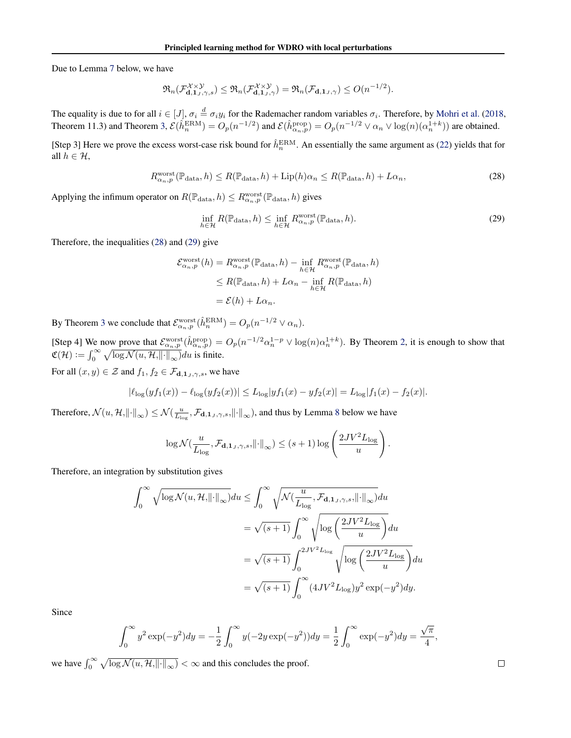Due to Lemma [7](#page-21-0) below, we have

$$
\mathfrak{R}_n(\mathcal{F}_{\mathbf{d},\mathbf{1}_J,\gamma,s}^{\mathcal{X}\times\mathcal{Y}})\leq \mathfrak{R}_n(\mathcal{F}_{\mathbf{d},\mathbf{1}_J,\gamma}^{\mathcal{X}\times\mathcal{Y}})=\mathfrak{R}_n(\mathcal{F}_{\mathbf{d},\mathbf{1}_J,\gamma})\leq O(n^{-1/2}).
$$

The equality is due to for all  $i \in [J]$ ,  $\sigma_i \stackrel{d}{=} \sigma_i y_i$  for the Rademacher random variables  $\sigma_i$ . Therefore, by [Mohri et al.](#page-9-0) [\(2018,](#page-9-0) Theorem 11.3) and Theorem [3,](#page-3-0)  $\mathcal{E}(\hat{h}_n^{\text{ERM}}) = O_p(n^{-1/2})$  and  $\mathcal{E}(\hat{h}_{\alpha_n,p}^{\text{prop}}) = O_p(n^{-1/2} \vee \alpha_n \vee \log(n)(\alpha_n^{1+k}))$  are obtained.

[Step 3] Here we prove the excess worst-case risk bound for  $\hat{h}_n^{\text{ERM}}$ . An essentially the same argument as [\(22\)](#page-17-0) yields that for all  $h \in \mathcal{H}$ ,

$$
R_{\alpha_n, p}^{\text{worst}}(\mathbb{P}_{\text{data}}, h) \le R(\mathbb{P}_{\text{data}}, h) + \text{Lip}(h)\alpha_n \le R(\mathbb{P}_{\text{data}}, h) + L\alpha_n,\tag{28}
$$

Applying the infimum operator on  $R(\mathbb{P}_{data}, h) \leq R_{\alpha_n, p}^{\text{worst}}(\mathbb{P}_{data}, h)$  gives

$$
\inf_{h \in \mathcal{H}} R(\mathbb{P}_{\text{data}}, h) \le \inf_{h \in \mathcal{H}} R_{\alpha_n, p}^{\text{worst}}(\mathbb{P}_{\text{data}}, h). \tag{29}
$$

Therefore, the inequalities (28) and (29) give

$$
\mathcal{E}_{\alpha_n,p}^{\text{worst}}(h) = R_{\alpha_n,p}^{\text{worst}}(\mathbb{P}_{\text{data}}, h) - \inf_{h \in \mathcal{H}} R_{\alpha_n,p}^{\text{worst}}(\mathbb{P}_{\text{data}}, h)
$$
  

$$
\leq R(\mathbb{P}_{\text{data}}, h) + L\alpha_n - \inf_{h \in \mathcal{H}} R(\mathbb{P}_{\text{data}}, h)
$$
  

$$
= \mathcal{E}(h) + L\alpha_n.
$$

By Theorem [3](#page-3-0) we conclude that  $\mathcal{E}_{\alpha_n,p}^{\text{worst}}(\hat{h}_n^{\text{ERM}}) = O_p(n^{-1/2} \vee \alpha_n)$ .

[Step 4] We now prove that  $\mathcal{E}_{\alpha_n,p}^{\text{worst}}(\hat{h}_{\alpha_n,p}^{\text{prop}}) = O_p(n^{-1/2} \alpha_n^{1-p} \vee \log(n) \alpha_n^{1+k})$ . By Theorem [2,](#page-3-0) it is enough to show that  $\mathfrak{C}(\mathcal{H}) := \int_0^\infty \sqrt{\log \mathcal{N}(u, \mathcal{H}, ||\cdot||_\infty)} du$  is finite.

For all  $(x, y) \in \mathcal{Z}$  and  $f_1, f_2 \in \mathcal{F}_{d, \mathbf{1}_J, \gamma, s}$ , we have

$$
|\ell_{\log}(y f_1(x)) - \ell_{\log}(y f_2(x))| \le L_{\log}|y f_1(x) - y f_2(x)| = L_{\log}|f_1(x) - f_2(x)|.
$$

Therefore,  $\mathcal{N}(u, \mathcal{H}, \|\cdot\|_{\infty}) \leq \mathcal{N}(\frac{u}{L_{\log}}, \mathcal{F}_{\mathbf{d}, \mathbf{1}_J, \gamma, s}, \|\cdot\|_{\infty})$ , and thus by Lemma [8](#page-21-0) below we have

$$
\log \mathcal{N}(\frac{u}{L_{\log}}, \mathcal{F}_{\mathbf{d}, \mathbf{1}_J, \gamma, s}, \left\| \cdot \right\|_{\infty}) \leq (s+1) \log \left( \frac{2JV^2 L_{\log}}{u} \right).
$$

Therefore, an integration by substitution gives

$$
\int_0^\infty \sqrt{\log N(u, \mathcal{H}, ||\cdot||_\infty)} du \le \int_0^\infty \sqrt{\mathcal{N}(\frac{u}{L_{\log}}, \mathcal{F}_{\mathbf{d}, 1_J, \gamma, s}, ||\cdot||_\infty)} du
$$
  

$$
= \sqrt{(s+1)} \int_0^\infty \sqrt{\log \left(\frac{2JV^2L_{\log}}{u}\right)} du
$$
  

$$
= \sqrt{(s+1)} \int_0^{2JV^2L_{\log}} \sqrt{\log \left(\frac{2JV^2L_{\log}}{u}\right)} du
$$
  

$$
= \sqrt{(s+1)} \int_0^\infty (4JV^2L_{\log}) y^2 \exp(-y^2) dy.
$$

Since

$$
\int_0^\infty y^2 \exp(-y^2) dy = -\frac{1}{2} \int_0^\infty y(-2y \exp(-y^2)) dy = \frac{1}{2} \int_0^\infty \exp(-y^2) dy = \frac{\sqrt{\pi}}{4},
$$

we have  $\int_0^\infty \sqrt{\log \mathcal{N}(u, \mathcal{H}, ||\cdot||_\infty)} < \infty$  and this concludes the proof.

 $\Box$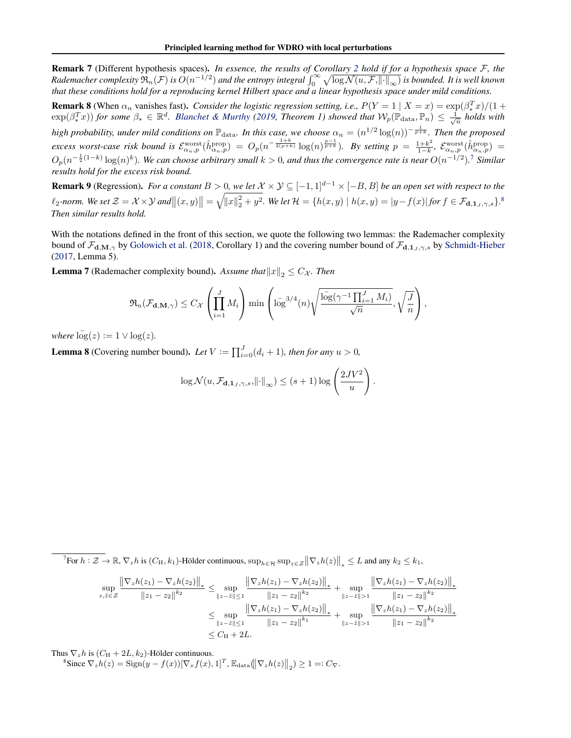<span id="page-21-0"></span>Remark 7 (Different hypothesis spaces). *In essence, the results of Corollary [2](#page-19-0) hold if for a hypothesis space* F*, the*  $R$ ademacher complexity  $\mathfrak{R}_n(\mathcal{F})$  is  $O(n^{-1/2})$  and the entropy integral  $\int_0^\infty \sqrt{\log N(u,\mathcal{F},\|\cdot\|_\infty)}$  is bounded. It is well known *that these conditions hold for a reproducing kernel Hilbert space and a linear hypothesis space under mild conditions.*

**Remark 8** (When  $\alpha_n$  vanishes fast). *Consider the logistic regression setting, i.e.,*  $P(Y = 1 | X = x) = \exp(\beta_x^T x)/(1 + x^2)$  $\exp(\beta_*^T x)$  *for some*  $\beta_* \in \mathbb{R}^d$ . *[Blanchet & Murthy](#page-8-0)* [\(2019,](#page-8-0) Theorem 1) showed that  $W_p(\mathbb{P}_{data}, \mathbb{P}_n) \leq \frac{1}{\sqrt{n}}$  holds with high probability, under mild conditions on  $\mathbb{P}_{\rm data}$ *. In this case, we choose*  $\alpha_n=(n^{1/2}\log(n))^{-\frac{1}{p+k}}$ *. Then the proposed excess worst-case risk bound is*  $\mathcal{E}_{\alpha_n,p}^{\text{worst}}(\hat{h}_{\alpha_n,p}^{\text{prop}}) = O_p(n^{-\frac{1+k}{2(p+k)}} \log(n)^{\frac{p-1}{p+k}})$ . By setting  $p = \frac{1+k^2}{1-k}$  $\frac{1+k^2}{1-k},\,\, \mathcal{E}^{\text{worst}}_{\alpha_n,p}(\hat{h}^{\text{prop}}_{\alpha_n,p}) \;=\;$  $O_p(n^{-\frac{1}{2}(1-k)}\log(n)^k)$ . We can choose arbitrary small  $k>0$ , and thus the convergence rate is near  $O(n^{-1/2})$ .<sup>7</sup> Similar *results hold for the excess risk bound.*

**Remark 9** (Regression). *For a constant*  $B > 0$ , we let  $X \times Y \subseteq [-1, 1]^{d-1} \times [-B, B]$  *be an open set with respect to the*  $\ell_2$ -norm. We set  $\mathcal{Z} = \mathcal{X} \times \mathcal{Y}$  and  $||(x, y)|| = \sqrt{||x||_2^2 + y^2}$ . We let  $\mathcal{H} = \{h(x, y) \mid h(x, y) = |y - f(x)|$  for  $f \in \mathcal{F}_{d, 1, y, \gamma, s}\}$ . *Then similar results hold.*

With the notations defined in the front of this section, we quote the following two lemmas: the Rademacher complexity bound of  $\mathcal{F}_{d,M,\gamma}$  by [Golowich et al.](#page-8-0) [\(2018,](#page-8-0) Corollary 1) and the covering number bound of  $\mathcal{F}_{d,1,j,\gamma,s}$  by [Schmidt-Hieber](#page-9-0) [\(2017,](#page-9-0) Lemma 5).

**Lemma 7** (Rademacher complexity bound). Assume that  $||x||_2 \leq C_{\mathcal{X}}$ . Then

$$
\mathfrak{R}_{n}(\mathcal{F}_{\mathbf{d},\mathbf{M},\gamma}) \leq C_{\mathcal{X}}\left(\prod_{i=1}^{J} M_{i}\right) \min\left(\log^{3/4}(n)\sqrt{\frac{\log(\gamma^{-1}\prod_{i=1}^{J} M_{i})}{\sqrt{n}}},\sqrt{\frac{J}{n}}\right),
$$

*where*  $\overline{\log}(z) := 1 \vee \log(z)$ *.* 

**Lemma 8** (Covering number bound). Let  $V := \prod_{i=0}^{J} (d_i + 1)$ *, then for any*  $u > 0$ *,* 

$$
\log \mathcal{N}(u, \mathcal{F}_{\mathbf{d}, \mathbf{1}_J, \gamma, s}, ||\cdot||_{\infty}) \le (s+1) \log \left(\frac{2JV^2}{u}\right).
$$

 ${}^7$ For  $h: \mathcal{Z} \to \mathbb{R}$ ,  $\nabla_z h$  is  $(C_H, k_1)$ -Hölder continuous,  $\sup_{h \in \mathcal{H}} \sup_{z \in \mathcal{Z}} ||\nabla_z h(z)||_* \leq L$  and any  $k_2 \leq k_1$ ,

$$
\sup_{z,\bar{z}\in\mathcal{Z}}\frac{\left\|\nabla_{z}h(z_{1})-\nabla_{z}h(z_{2})\right\|_{*}}{\left\|z_{1}-z_{2}\right\|^{k_{2}}}\leq \sup_{\left\|z-\bar{z}\right\|\leq 1}\frac{\left\|\nabla_{z}h(z_{1})-\nabla_{z}h(z_{2})\right\|_{*}}{\left\|z_{1}-z_{2}\right\|^{k_{2}}}+\sup_{\left\|z-\bar{z}\right\|\geq 1}\frac{\left\|\nabla_{z}h(z_{1})-\nabla_{z}h(z_{2})\right\|_{*}}{\left\|z_{1}-z_{2}\right\|^{k_{2}}}\right\|_{*}}{\left\|\nabla_{z}h(z_{1})-\nabla_{z}h(z_{2})\right\|_{*}}+\sup_{\left\|z-\bar{z}\right\|\geq 1}\frac{\left\|\nabla_{z}h(z_{1})-\nabla_{z}h(z_{2})\right\|_{*}}{\left\|z_{1}-z_{2}\right\|^{k_{2}}}\right\|_{*}}{\left\|\nabla_{z}h(z_{1})-\nabla_{z}h(z_{2})\right\|_{*}}+\sup_{\left\|z-\bar{z}\right\|\geq 1}\frac{\left\|\nabla_{z}h(z_{1})-\nabla_{z}h(z_{2})\right\|_{*}}{\left\|z_{1}-z_{2}\right\|^{k_{2}}}
$$
\n
$$
\leq C_{\mathrm{H}}+2L.
$$

Thus  $\nabla_z h$  is  $(C_H + 2L, k_2)$ -Hölder continuous.

<sup>8</sup>Since  $\nabla_z h(z) = \text{Sign}(y - f(x)) [\nabla_x f(x), 1]^T$ ,  $\mathbb{E}_{\text{data}}(\|\nabla_z h(z)\|_2) \ge 1 =: C_{\nabla}$ .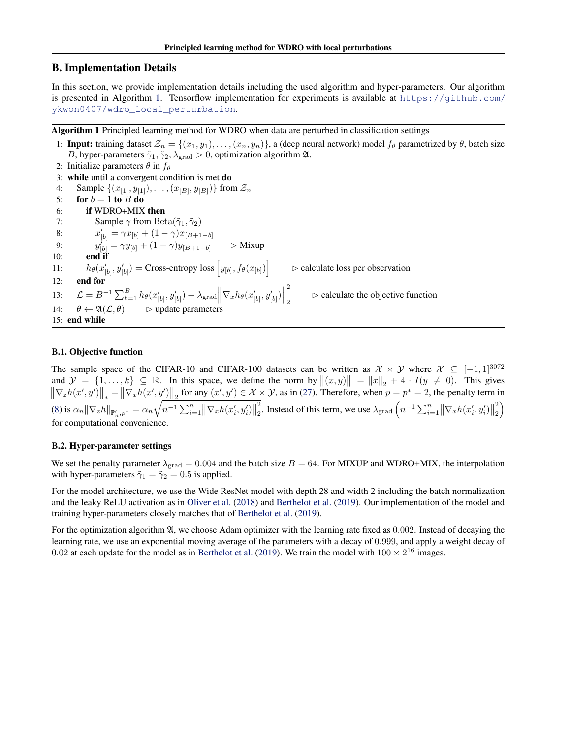# B. Implementation Details

In this section, we provide implementation details including the used algorithm and hyper-parameters. Our algorithm is presented in Algorithm 1. Tensorflow implementation for experiments is available at [https://github.com/](https://github.com/ykwon0407/wdro_local_perturbation) [ykwon0407/wdro\\_local\\_perturbation](https://github.com/ykwon0407/wdro_local_perturbation).

Algorithm 1 Principled learning method for WDRO when data are perturbed in classification settings

1: **Input:** training dataset  $\mathcal{Z}_n = \{(x_1, y_1), \ldots, (x_n, y_n)\}\$ , a (deep neural network) model  $f_\theta$  parametrized by  $\theta$ , batch size B, hyper-parameters  $\tilde{\gamma}_1, \tilde{\gamma}_2, \lambda_{\text{grad}} > 0$ , optimization algorithm  $\mathfrak{A}$ . 2: Initialize parameters  $\theta$  in  $f_{\theta}$ 3: while until a convergent condition is met do 4: Sample  $\{(x_{[1]}, y_{[1]}), \ldots, (x_{[B]}, y_{[B]})\}$  from  $\mathcal{Z}_n$ 5: for  $b = 1$  to B do 6: if WDRO+MIX then 7: Sample  $\gamma$  from Beta $(\tilde{\gamma}_1, \tilde{\gamma}_2)$ 8:  $x'_{[b]} = \gamma x_{[b]} + (1 - \gamma)x_{[B+1-b]}$ 9:  $y'_{[b]} = \gamma y_{[b]} + (1 - \gamma) y_{[B+1-b]}$   $\triangleright$  Mixup  $10:$ 11:  $h_{\theta}(x'_{[b]}, y'_{[b]}) = \text{Cross-entropy loss}\left[y_{[b]}, f_{\theta}(x_{[b]})\right]$  $\triangleright$  calculate loss per observation 12: end for 13:  $\mathcal{L} = B^{-1} \sum_{b=1}^{B} h_{\theta}(x'_{[b]}, y'_{[b]}) + \lambda_{\text{grad}} \left\| \nabla_x h_{\theta}(x'_{[b]}, y'_{[b]}) \right\|$ 2 2  $\triangleright$  calculate the objective function 14:  $\theta \leftarrow \mathfrak{A}(\mathcal{L}, \theta)$   $\Rightarrow$  update parameters 15: end while

# B.1. Objective function

The sample space of the CIFAR-10 and CIFAR-100 datasets can be written as  $\mathcal{X} \times \mathcal{Y}$  where  $\mathcal{X} \subseteq [-1,1]^{3072}$ and  $\mathcal{Y} = \{1, \ldots, k\} \subseteq \mathbb{R}$ . In this space, we define the norm by  $||(x, y)|| = ||x||_2 + 4 \cdot I(y \neq 0)$ . This gives  $\|\nabla_z h(x', y')\|_* = \|\nabla_x h(x', y')\|_2$  for any  $(x', y') \in \mathcal{X} \times \mathcal{Y}$ , as in [\(27\)](#page-19-0). Therefore, when  $p = p^* = 2$ , the penalty term in [\(8\)](#page-5-0) is  $\alpha_n ||\nabla_z h||_{\mathbb{P}'_n, p^*} = \alpha_n \sqrt{n^{-1} \sum_{i=1}^n ||\nabla_x h(x'_i, y'_i)||}$ 2 <sup>2</sup>/<sub>2</sub>. Instead of this term, we use  $\lambda_{\text{grad}}\left(n^{-1}\sum_{i=1}^{n}||\nabla_x h(x'_i, y'_i)||$ 2  $\binom{2}{2}$ for computational convenience.

# B.2. Hyper-parameter settings

We set the penalty parameter  $\lambda_{\text{grad}} = 0.004$  and the batch size  $B = 64$ . For MIXUP and WDRO+MIX, the interpolation with hyper-parameters  $\tilde{\gamma}_1 = \tilde{\gamma}_2 = 0.5$  is applied.

For the model architecture, we use the Wide ResNet model with depth 28 and width 2 including the batch normalization and the leaky ReLU activation as in [Oliver et al.](#page-9-0) [\(2018\)](#page-9-0) and [Berthelot et al.](#page-8-0) [\(2019\)](#page-8-0). Our implementation of the model and training hyper-parameters closely matches that of [Berthelot et al.](#page-8-0) [\(2019\)](#page-8-0).

For the optimization algorithm  $\mathfrak{A}$ , we choose Adam optimizer with the learning rate fixed as 0.002. Instead of decaying the learning rate, we use an exponential moving average of the parameters with a decay of 0.999, and apply a weight decay of 0.02 at each update for the model as in [Berthelot et al.](#page-8-0) [\(2019\)](#page-8-0). We train the model with  $100 \times 2^{16}$  images.